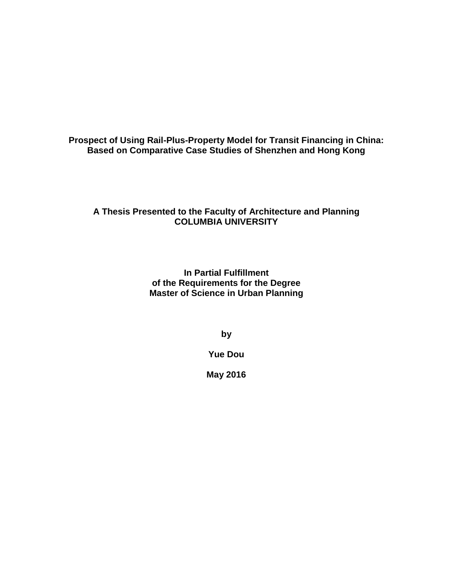**Prospect of Using Rail-Plus-Property Model for Transit Financing in China: Based on Comparative Case Studies of Shenzhen and Hong Kong**

## **A Thesis Presented to the Faculty of Architecture and Planning COLUMBIA UNIVERSITY**

**In Partial Fulfillment of the Requirements for the Degree Master of Science in Urban Planning**

**by** 

**Yue Dou**

**May 2016**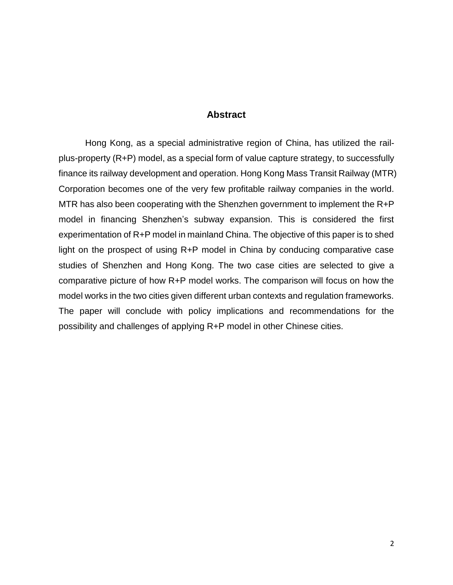## **Abstract**

<span id="page-1-0"></span>Hong Kong, as a special administrative region of China, has utilized the railplus-property (R+P) model, as a special form of value capture strategy, to successfully finance its railway development and operation. Hong Kong Mass Transit Railway (MTR) Corporation becomes one of the very few profitable railway companies in the world. MTR has also been cooperating with the Shenzhen government to implement the R+P model in financing Shenzhen's subway expansion. This is considered the first experimentation of R+P model in mainland China. The objective of this paper is to shed light on the prospect of using R+P model in China by conducing comparative case studies of Shenzhen and Hong Kong. The two case cities are selected to give a comparative picture of how R+P model works. The comparison will focus on how the model works in the two cities given different urban contexts and regulation frameworks. The paper will conclude with policy implications and recommendations for the possibility and challenges of applying R+P model in other Chinese cities.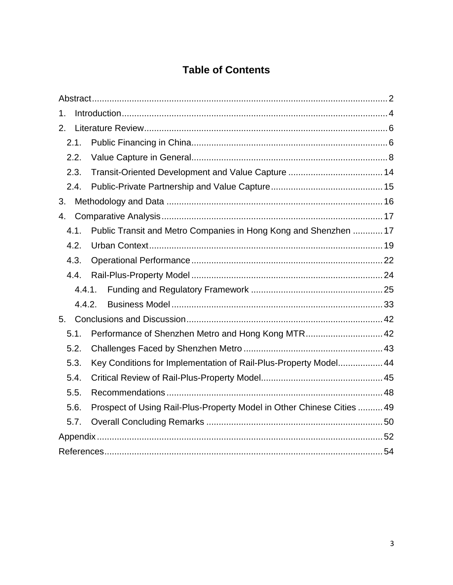# **Table of Contents**

| 1.     |                                                                        |  |
|--------|------------------------------------------------------------------------|--|
| 2.     |                                                                        |  |
| 2.1.   |                                                                        |  |
| 2.2.   |                                                                        |  |
| 2.3.   |                                                                        |  |
| 2.4.   |                                                                        |  |
| 3.     |                                                                        |  |
| 4.     |                                                                        |  |
| 4.1.   | Public Transit and Metro Companies in Hong Kong and Shenzhen  17       |  |
| 4.2.   |                                                                        |  |
| 4.3.   |                                                                        |  |
| 4.4.   |                                                                        |  |
| 4.4.1. |                                                                        |  |
| 4.4.2. |                                                                        |  |
| 5.     |                                                                        |  |
| 5.1.   | Performance of Shenzhen Metro and Hong Kong MTR 42                     |  |
| 5.2.   |                                                                        |  |
| 5.3.   | Key Conditions for Implementation of Rail-Plus-Property Model 44       |  |
| 5.4.   |                                                                        |  |
| 5.5.   |                                                                        |  |
| 5.6.   | Prospect of Using Rail-Plus-Property Model in Other Chinese Cities  49 |  |
| 5.7.   |                                                                        |  |
|        |                                                                        |  |
|        |                                                                        |  |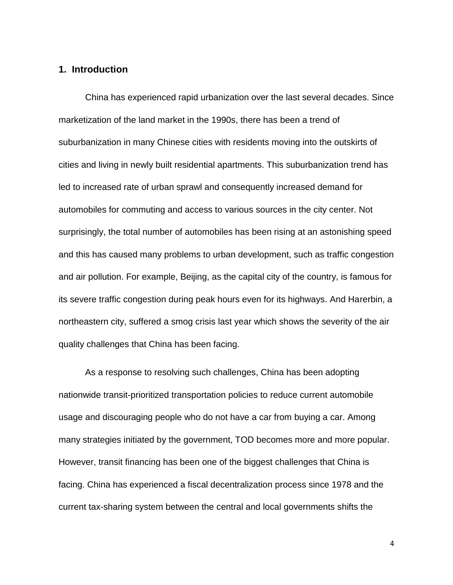## <span id="page-3-0"></span>**1. Introduction**

China has experienced rapid urbanization over the last several decades. Since marketization of the land market in the 1990s, there has been a trend of suburbanization in many Chinese cities with residents moving into the outskirts of cities and living in newly built residential apartments. This suburbanization trend has led to increased rate of urban sprawl and consequently increased demand for automobiles for commuting and access to various sources in the city center. Not surprisingly, the total number of automobiles has been rising at an astonishing speed and this has caused many problems to urban development, such as traffic congestion and air pollution. For example, Beijing, as the capital city of the country, is famous for its severe traffic congestion during peak hours even for its highways. And Harerbin, a northeastern city, suffered a smog crisis last year which shows the severity of the air quality challenges that China has been facing.

As a response to resolving such challenges, China has been adopting nationwide transit-prioritized transportation policies to reduce current automobile usage and discouraging people who do not have a car from buying a car. Among many strategies initiated by the government, TOD becomes more and more popular. However, transit financing has been one of the biggest challenges that China is facing. China has experienced a fiscal decentralization process since 1978 and the current tax-sharing system between the central and local governments shifts the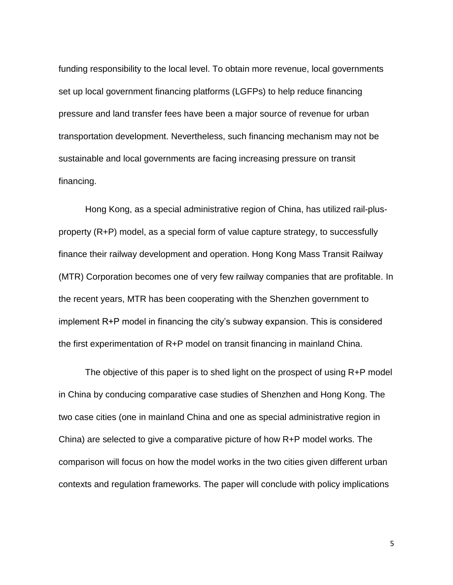funding responsibility to the local level. To obtain more revenue, local governments set up local government financing platforms (LGFPs) to help reduce financing pressure and land transfer fees have been a major source of revenue for urban transportation development. Nevertheless, such financing mechanism may not be sustainable and local governments are facing increasing pressure on transit financing.

Hong Kong, as a special administrative region of China, has utilized rail-plusproperty (R+P) model, as a special form of value capture strategy, to successfully finance their railway development and operation. Hong Kong Mass Transit Railway (MTR) Corporation becomes one of very few railway companies that are profitable. In the recent years, MTR has been cooperating with the Shenzhen government to implement R+P model in financing the city's subway expansion. This is considered the first experimentation of R+P model on transit financing in mainland China.

The objective of this paper is to shed light on the prospect of using R+P model in China by conducing comparative case studies of Shenzhen and Hong Kong. The two case cities (one in mainland China and one as special administrative region in China) are selected to give a comparative picture of how R+P model works. The comparison will focus on how the model works in the two cities given different urban contexts and regulation frameworks. The paper will conclude with policy implications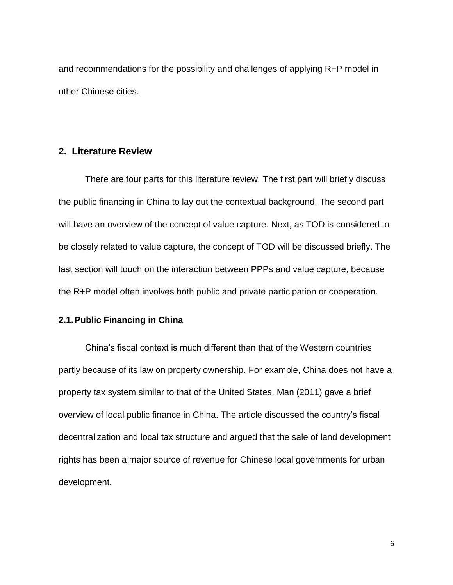and recommendations for the possibility and challenges of applying R+P model in other Chinese cities.

## <span id="page-5-0"></span>**2. Literature Review**

There are four parts for this literature review. The first part will briefly discuss the public financing in China to lay out the contextual background. The second part will have an overview of the concept of value capture. Next, as TOD is considered to be closely related to value capture, the concept of TOD will be discussed briefly. The last section will touch on the interaction between PPPs and value capture, because the R+P model often involves both public and private participation or cooperation.

#### <span id="page-5-1"></span>**2.1.Public Financing in China**

China's fiscal context is much different than that of the Western countries partly because of its law on property ownership. For example, China does not have a property tax system similar to that of the United States. Man (2011) gave a brief overview of local public finance in China. The article discussed the country's fiscal decentralization and local tax structure and argued that the sale of land development rights has been a major source of revenue for Chinese local governments for urban development.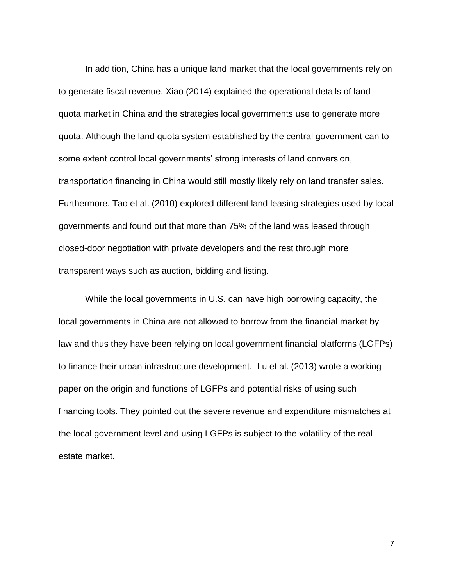In addition, China has a unique land market that the local governments rely on to generate fiscal revenue. Xiao (2014) explained the operational details of land quota market in China and the strategies local governments use to generate more quota. Although the land quota system established by the central government can to some extent control local governments' strong interests of land conversion, transportation financing in China would still mostly likely rely on land transfer sales. Furthermore, Tao et al. (2010) explored different land leasing strategies used by local governments and found out that more than 75% of the land was leased through closed-door negotiation with private developers and the rest through more transparent ways such as auction, bidding and listing.

While the local governments in U.S. can have high borrowing capacity, the local governments in China are not allowed to borrow from the financial market by law and thus they have been relying on local government financial platforms (LGFPs) to finance their urban infrastructure development. Lu et al. (2013) wrote a working paper on the origin and functions of LGFPs and potential risks of using such financing tools. They pointed out the severe revenue and expenditure mismatches at the local government level and using LGFPs is subject to the volatility of the real estate market.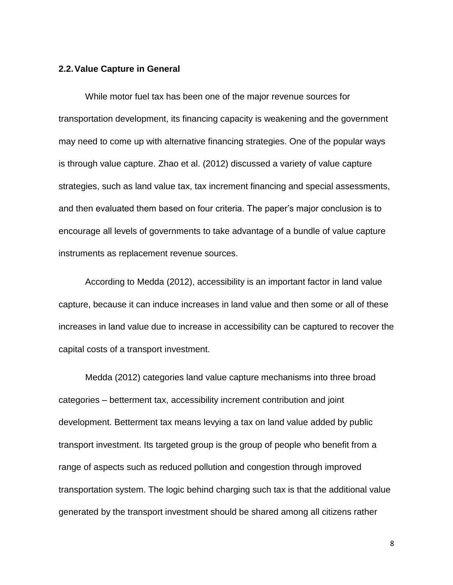## <span id="page-7-0"></span>**2.2.Value Capture in General**

While motor fuel tax has been one of the major revenue sources for transportation development, its financing capacity is weakening and the government may need to come up with alternative financing strategies. One of the popular ways is through value capture. Zhao et al. (2012) discussed a variety of value capture strategies, such as land value tax, tax increment financing and special assessments, and then evaluated them based on four criteria. The paper's major conclusion is to encourage all levels of governments to take advantage of a bundle of value capture instruments as replacement revenue sources.

According to Medda (2012), accessibility is an important factor in land value capture, because it can induce increases in land value and then some or all of these increases in land value due to increase in accessibility can be captured to recover the capital costs of a transport investment.

Medda (2012) categories land value capture mechanisms into three broad categories – betterment tax, accessibility increment contribution and joint development. Betterment tax means levying a tax on land value added by public transport investment. Its targeted group is the group of people who benefit from a range of aspects such as reduced pollution and congestion through improved transportation system. The logic behind charging such tax is that the additional value generated by the transport investment should be shared among all citizens rather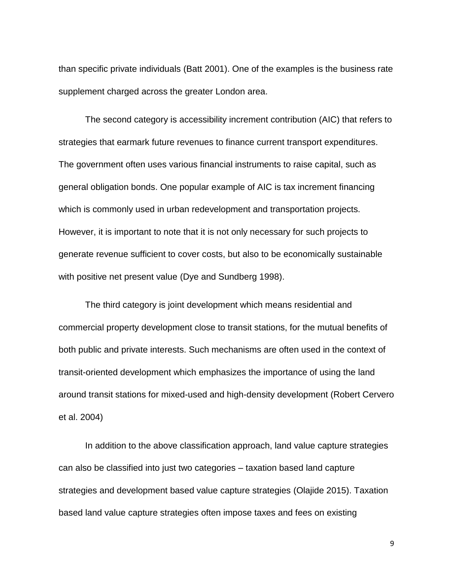than specific private individuals (Batt 2001). One of the examples is the business rate supplement charged across the greater London area.

The second category is accessibility increment contribution (AIC) that refers to strategies that earmark future revenues to finance current transport expenditures. The government often uses various financial instruments to raise capital, such as general obligation bonds. One popular example of AIC is tax increment financing which is commonly used in urban redevelopment and transportation projects. However, it is important to note that it is not only necessary for such projects to generate revenue sufficient to cover costs, but also to be economically sustainable with positive net present value (Dye and Sundberg 1998).

The third category is joint development which means residential and commercial property development close to transit stations, for the mutual benefits of both public and private interests. Such mechanisms are often used in the context of transit-oriented development which emphasizes the importance of using the land around transit stations for mixed-used and high-density development (Robert Cervero et al. 2004)

In addition to the above classification approach, land value capture strategies can also be classified into just two categories – taxation based land capture strategies and development based value capture strategies (Olajide 2015). Taxation based land value capture strategies often impose taxes and fees on existing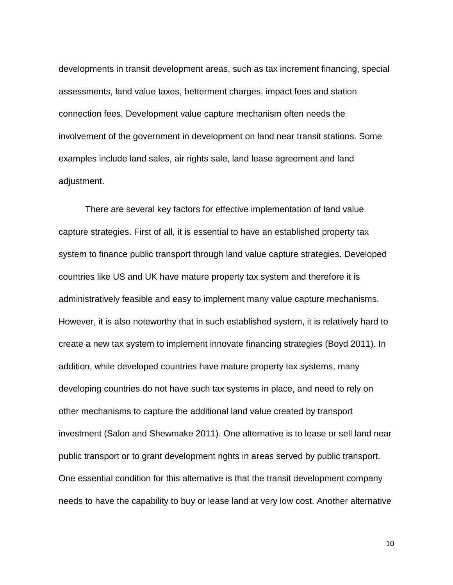developments in transit development areas, such as tax increment financing, special assessments, land value taxes, betterment charges, impact fees and station connection fees. Development value capture mechanism often needs the involvement of the government in development on land near transit stations. Some examples include land sales, air rights sale, land lease agreement and land adjustment.

There are several key factors for effective implementation of land value capture strategies. First of all, it is essential to have an established property tax system to finance public transport through land value capture strategies. Developed countries like US and UK have mature property tax system and therefore it is administratively feasible and easy to implement many value capture mechanisms. However, it is also noteworthy that in such established system, it is relatively hard to create a new tax system to implement innovate financing strategies (Boyd 2011). In addition, while developed countries have mature property tax systems, many developing countries do not have such tax systems in place, and need to rely on other mechanisms to capture the additional land value created by transport investment (Salon and Shewmake 2011). One alternative is to lease or sell land near public transport or to grant development rights in areas served by public transport. One essential condition for this alternative is that the transit development company needs to have the capability to buy or lease land at very low cost. Another alternative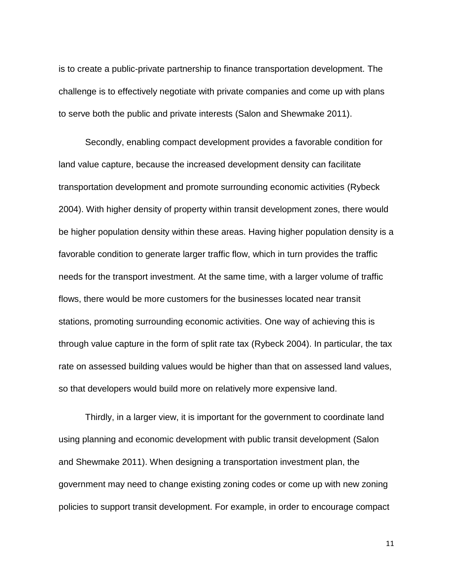is to create a public-private partnership to finance transportation development. The challenge is to effectively negotiate with private companies and come up with plans to serve both the public and private interests (Salon and Shewmake 2011).

Secondly, enabling compact development provides a favorable condition for land value capture, because the increased development density can facilitate transportation development and promote surrounding economic activities (Rybeck 2004). With higher density of property within transit development zones, there would be higher population density within these areas. Having higher population density is a favorable condition to generate larger traffic flow, which in turn provides the traffic needs for the transport investment. At the same time, with a larger volume of traffic flows, there would be more customers for the businesses located near transit stations, promoting surrounding economic activities. One way of achieving this is through value capture in the form of split rate tax (Rybeck 2004). In particular, the tax rate on assessed building values would be higher than that on assessed land values, so that developers would build more on relatively more expensive land.

Thirdly, in a larger view, it is important for the government to coordinate land using planning and economic development with public transit development (Salon and Shewmake 2011). When designing a transportation investment plan, the government may need to change existing zoning codes or come up with new zoning policies to support transit development. For example, in order to encourage compact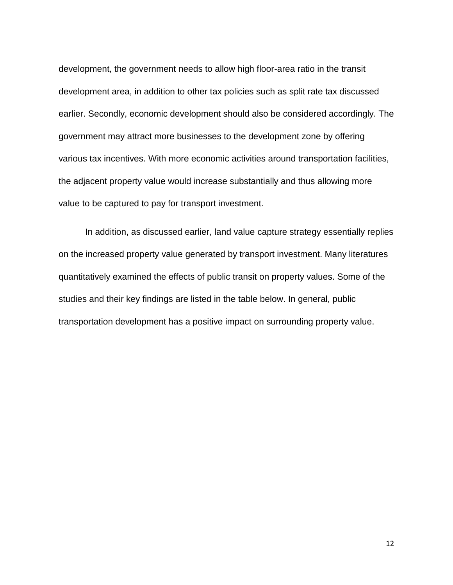development, the government needs to allow high floor-area ratio in the transit development area, in addition to other tax policies such as split rate tax discussed earlier. Secondly, economic development should also be considered accordingly. The government may attract more businesses to the development zone by offering various tax incentives. With more economic activities around transportation facilities, the adjacent property value would increase substantially and thus allowing more value to be captured to pay for transport investment.

In addition, as discussed earlier, land value capture strategy essentially replies on the increased property value generated by transport investment. Many literatures quantitatively examined the effects of public transit on property values. Some of the studies and their key findings are listed in the table below. In general, public transportation development has a positive impact on surrounding property value.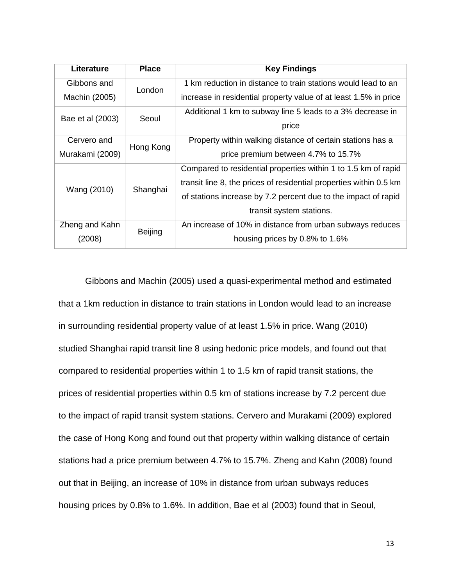| Literature       | <b>Place</b>   | <b>Key Findings</b>                                                |
|------------------|----------------|--------------------------------------------------------------------|
| Gibbons and      | London         | 1 km reduction in distance to train stations would lead to an      |
| Machin (2005)    |                | increase in residential property value of at least 1.5% in price   |
| Bae et al (2003) | Seoul          | Additional 1 km to subway line 5 leads to a 3% decrease in         |
|                  |                | price                                                              |
| Cervero and      | Hong Kong      | Property within walking distance of certain stations has a         |
| Murakami (2009)  |                | price premium between 4.7% to 15.7%                                |
|                  | Shanghai       | Compared to residential properties within 1 to 1.5 km of rapid     |
| Wang (2010)      |                | transit line 8, the prices of residential properties within 0.5 km |
|                  |                | of stations increase by 7.2 percent due to the impact of rapid     |
|                  |                | transit system stations.                                           |
| Zheng and Kahn   | <b>Beijing</b> | An increase of 10% in distance from urban subways reduces          |
| (2008)           |                | housing prices by 0.8% to 1.6%                                     |

Gibbons and Machin (2005) used a quasi-experimental method and estimated that a 1km reduction in distance to train stations in London would lead to an increase in surrounding residential property value of at least 1.5% in price. Wang (2010) studied Shanghai rapid transit line 8 using hedonic price models, and found out that compared to residential properties within 1 to 1.5 km of rapid transit stations, the prices of residential properties within 0.5 km of stations increase by 7.2 percent due to the impact of rapid transit system stations. Cervero and Murakami (2009) explored the case of Hong Kong and found out that property within walking distance of certain stations had a price premium between 4.7% to 15.7%. Zheng and Kahn (2008) found out that in Beijing, an increase of 10% in distance from urban subways reduces housing prices by 0.8% to 1.6%. In addition, Bae et al (2003) found that in Seoul,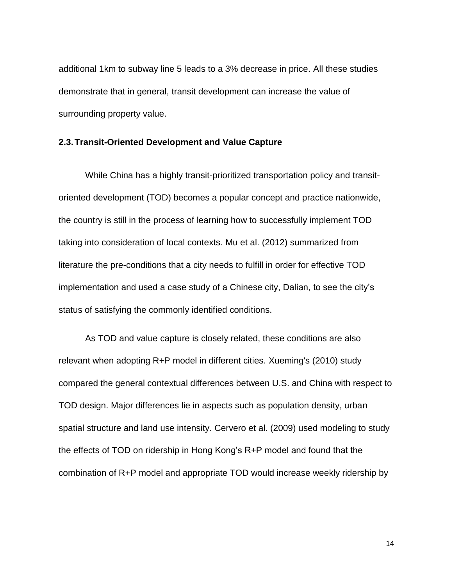additional 1km to subway line 5 leads to a 3% decrease in price. All these studies demonstrate that in general, transit development can increase the value of surrounding property value.

#### <span id="page-13-0"></span>**2.3.Transit-Oriented Development and Value Capture**

While China has a highly transit-prioritized transportation policy and transitoriented development (TOD) becomes a popular concept and practice nationwide, the country is still in the process of learning how to successfully implement TOD taking into consideration of local contexts. Mu et al. (2012) summarized from literature the pre-conditions that a city needs to fulfill in order for effective TOD implementation and used a case study of a Chinese city, Dalian, to see the city's status of satisfying the commonly identified conditions.

As TOD and value capture is closely related, these conditions are also relevant when adopting R+P model in different cities. Xueming's (2010) study compared the general contextual differences between U.S. and China with respect to TOD design. Major differences lie in aspects such as population density, urban spatial structure and land use intensity. Cervero et al. (2009) used modeling to study the effects of TOD on ridership in Hong Kong's R+P model and found that the combination of R+P model and appropriate TOD would increase weekly ridership by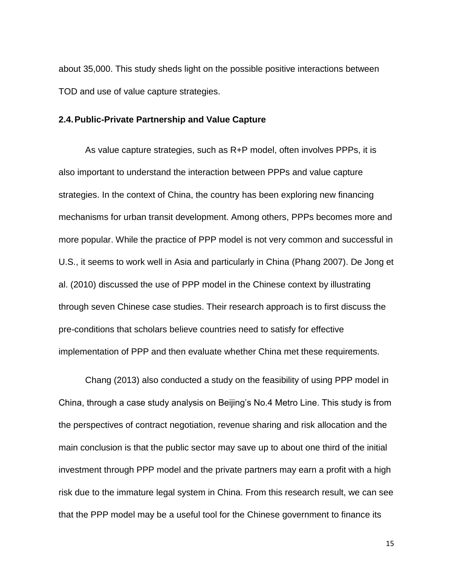about 35,000. This study sheds light on the possible positive interactions between TOD and use of value capture strategies.

#### <span id="page-14-0"></span>**2.4.Public-Private Partnership and Value Capture**

As value capture strategies, such as R+P model, often involves PPPs, it is also important to understand the interaction between PPPs and value capture strategies. In the context of China, the country has been exploring new financing mechanisms for urban transit development. Among others, PPPs becomes more and more popular. While the practice of PPP model is not very common and successful in U.S., it seems to work well in Asia and particularly in China (Phang 2007). De Jong et al. (2010) discussed the use of PPP model in the Chinese context by illustrating through seven Chinese case studies. Their research approach is to first discuss the pre-conditions that scholars believe countries need to satisfy for effective implementation of PPP and then evaluate whether China met these requirements.

Chang (2013) also conducted a study on the feasibility of using PPP model in China, through a case study analysis on Beijing's No.4 Metro Line. This study is from the perspectives of contract negotiation, revenue sharing and risk allocation and the main conclusion is that the public sector may save up to about one third of the initial investment through PPP model and the private partners may earn a profit with a high risk due to the immature legal system in China. From this research result, we can see that the PPP model may be a useful tool for the Chinese government to finance its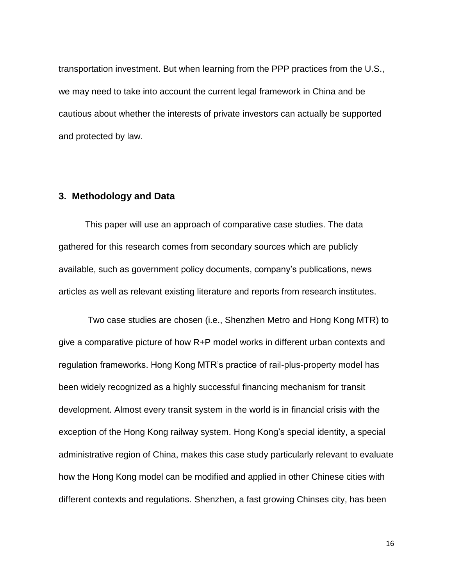transportation investment. But when learning from the PPP practices from the U.S., we may need to take into account the current legal framework in China and be cautious about whether the interests of private investors can actually be supported and protected by law.

## <span id="page-15-0"></span>**3. Methodology and Data**

This paper will use an approach of comparative case studies. The data gathered for this research comes from secondary sources which are publicly available, such as government policy documents, company's publications, news articles as well as relevant existing literature and reports from research institutes.

Two case studies are chosen (i.e., Shenzhen Metro and Hong Kong MTR) to give a comparative picture of how R+P model works in different urban contexts and regulation frameworks. Hong Kong MTR's practice of rail-plus-property model has been widely recognized as a highly successful financing mechanism for transit development. Almost every transit system in the world is in financial crisis with the exception of the Hong Kong railway system. Hong Kong's special identity, a special administrative region of China, makes this case study particularly relevant to evaluate how the Hong Kong model can be modified and applied in other Chinese cities with different contexts and regulations. Shenzhen, a fast growing Chinses city, has been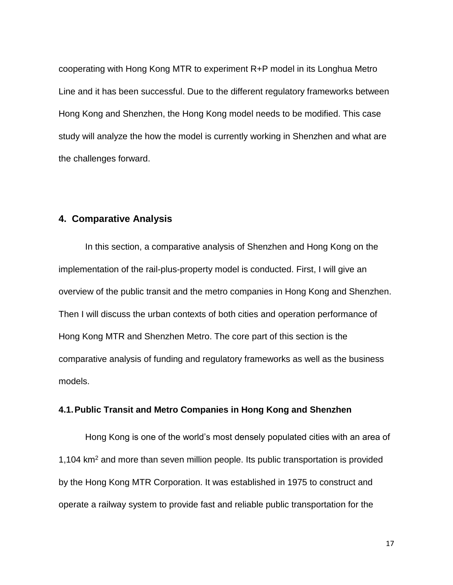cooperating with Hong Kong MTR to experiment R+P model in its Longhua Metro Line and it has been successful. Due to the different regulatory frameworks between Hong Kong and Shenzhen, the Hong Kong model needs to be modified. This case study will analyze the how the model is currently working in Shenzhen and what are the challenges forward.

## <span id="page-16-0"></span>**4. Comparative Analysis**

In this section, a comparative analysis of Shenzhen and Hong Kong on the implementation of the rail-plus-property model is conducted. First, I will give an overview of the public transit and the metro companies in Hong Kong and Shenzhen. Then I will discuss the urban contexts of both cities and operation performance of Hong Kong MTR and Shenzhen Metro. The core part of this section is the comparative analysis of funding and regulatory frameworks as well as the business models.

#### <span id="page-16-1"></span>**4.1.Public Transit and Metro Companies in Hong Kong and Shenzhen**

Hong Kong is one of the world's most densely populated cities with an area of 1,104 km<sup>2</sup> and more than seven million people. Its public transportation is provided by the Hong Kong MTR Corporation. It was established in 1975 to construct and operate a railway system to provide fast and reliable public transportation for the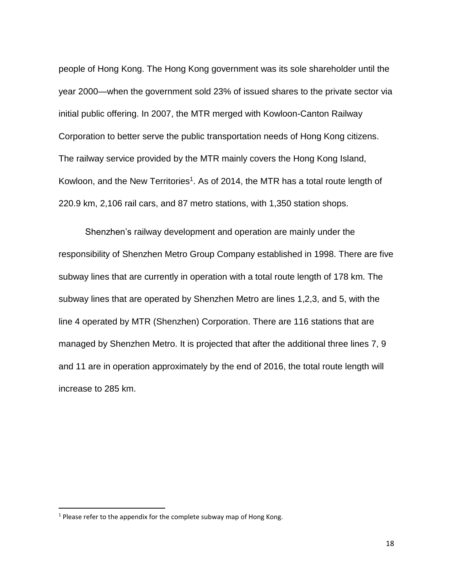people of Hong Kong. The Hong Kong government was its sole shareholder until the year 2000—when the government sold 23% of issued shares to the private sector via initial public offering. In 2007, the MTR merged with Kowloon-Canton Railway Corporation to better serve the public transportation needs of Hong Kong citizens. The railway service provided by the MTR mainly covers the Hong Kong Island, Kowloon, and the New Territories<sup>1</sup>. As of 2014, the MTR has a total route length of 220.9 km, 2,106 rail cars, and 87 metro stations, with 1,350 station shops.

Shenzhen's railway development and operation are mainly under the responsibility of Shenzhen Metro Group Company established in 1998. There are five subway lines that are currently in operation with a total route length of 178 km. The subway lines that are operated by Shenzhen Metro are lines 1,2,3, and 5, with the line 4 operated by MTR (Shenzhen) Corporation. There are 116 stations that are managed by Shenzhen Metro. It is projected that after the additional three lines 7, 9 and 11 are in operation approximately by the end of 2016, the total route length will increase to 285 km.

l

 $1$  Please refer to the appendix for the complete subway map of Hong Kong.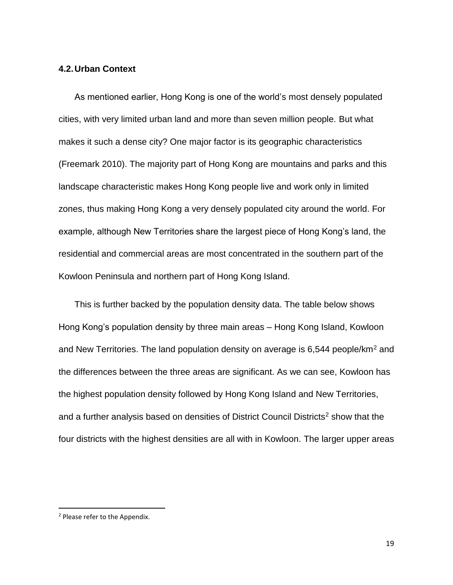### <span id="page-18-0"></span>**4.2.Urban Context**

As mentioned earlier, Hong Kong is one of the world's most densely populated cities, with very limited urban land and more than seven million people. But what makes it such a dense city? One major factor is its geographic characteristics (Freemark 2010). The majority part of Hong Kong are mountains and parks and this landscape characteristic makes Hong Kong people live and work only in limited zones, thus making Hong Kong a very densely populated city around the world. For example, although New Territories share the largest piece of Hong Kong's land, the residential and commercial areas are most concentrated in the southern part of the Kowloon Peninsula and northern part of Hong Kong Island.

This is further backed by the population density data. The table below shows Hong Kong's population density by three main areas – Hong Kong Island, Kowloon and New Territories. The land population density on average is 6,544 people/km<sup>2</sup> and the differences between the three areas are significant. As we can see, Kowloon has the highest population density followed by Hong Kong Island and New Territories, and a further analysis based on densities of District Council Districts<sup>2</sup> show that the four districts with the highest densities are all with in Kowloon. The larger upper areas

l

<sup>2</sup> Please refer to the Appendix.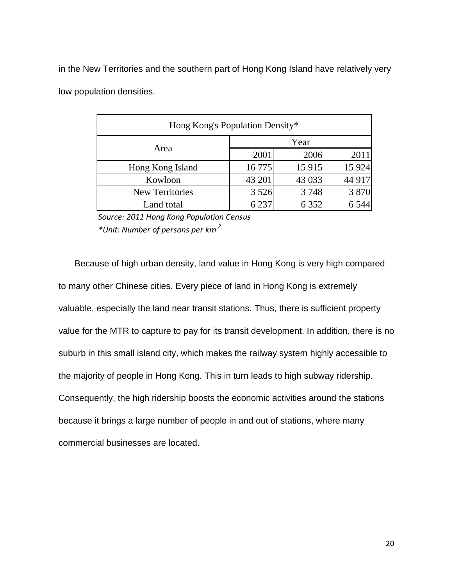in the New Territories and the southern part of Hong Kong Island have relatively very low population densities.

| Hong Kong's Population Density* |         |         |         |  |
|---------------------------------|---------|---------|---------|--|
|                                 | Year    |         |         |  |
| Area                            | 2001    | 2006    | 2011    |  |
| Hong Kong Island                | 16 7 75 | 15 9 15 | 15 9 24 |  |
| Kowloon                         | 43 201  | 43 033  | 44 917  |  |
| <b>New Territories</b>          | 3 5 2 6 | 3748    | 3870    |  |
| Land total                      | 6 2 3 7 | 6 3 5 2 | 6 5 4 4 |  |

*Source: 2011 Hong Kong Population Census* 

*\*Unit: Number of persons per km <sup>2</sup>*

Because of high urban density, land value in Hong Kong is very high compared to many other Chinese cities. Every piece of land in Hong Kong is extremely valuable, especially the land near transit stations. Thus, there is sufficient property value for the MTR to capture to pay for its transit development. In addition, there is no suburb in this small island city, which makes the railway system highly accessible to the majority of people in Hong Kong. This in turn leads to high subway ridership. Consequently, the high ridership boosts the economic activities around the stations because it brings a large number of people in and out of stations, where many commercial businesses are located.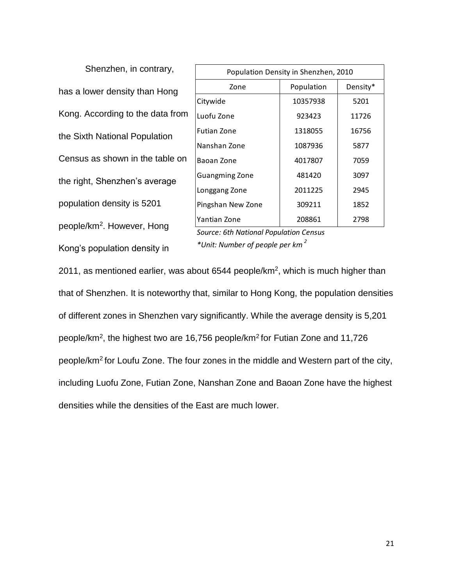Shenzhen, in contrary, has a lower density than Hong Kong. According to the data from the Sixth National Population Census as shown in the table on the right, Shenzhen's average population density is 5201 people/km<sup>2</sup> . However, Hong Kong's population density in

| Population Density in Shenzhen, 2010 |            |          |  |  |
|--------------------------------------|------------|----------|--|--|
| Zone                                 | Population | Density* |  |  |
| Citywide                             | 10357938   | 5201     |  |  |
| Luofu Zone                           | 923423     | 11726    |  |  |
| <b>Futian Zone</b>                   | 1318055    | 16756    |  |  |
| Nanshan Zone                         | 1087936    | 5877     |  |  |
| Baoan Zone                           | 4017807    | 7059     |  |  |
| <b>Guangming Zone</b>                | 481420     | 3097     |  |  |
| Longgang Zone                        | 2011225    | 2945     |  |  |
| Pingshan New Zone                    | 309211     | 1852     |  |  |
| Yantian Zone                         | 208861     | 2798     |  |  |

*Source: 6th National Population Census \*Unit: Number of people per km <sup>2</sup>*

2011, as mentioned earlier, was about 6544 people/km<sup>2</sup>, which is much higher than that of Shenzhen. It is noteworthy that, similar to Hong Kong, the population densities of different zones in Shenzhen vary significantly. While the average density is 5,201 people/km<sup>2</sup>, the highest two are 16,756 people/km<sup>2</sup> for Futian Zone and 11,726 people/km<sup>2</sup> for Loufu Zone. The four zones in the middle and Western part of the city, including Luofu Zone, Futian Zone, Nanshan Zone and Baoan Zone have the highest densities while the densities of the East are much lower.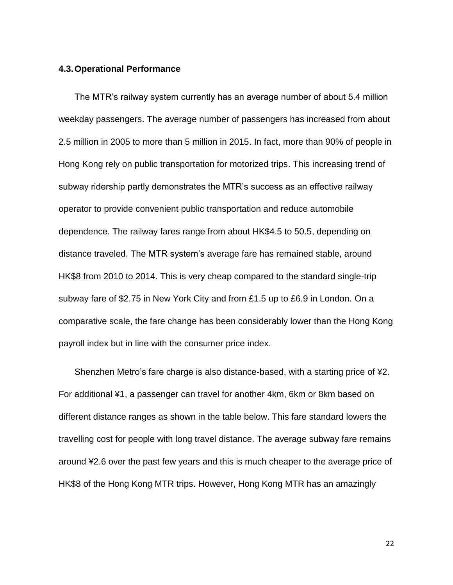#### <span id="page-21-0"></span>**4.3.Operational Performance**

The MTR's railway system currently has an average number of about 5.4 million weekday passengers. The average number of passengers has increased from about 2.5 million in 2005 to more than 5 million in 2015. In fact, more than 90% of people in Hong Kong rely on public transportation for motorized trips. This increasing trend of subway ridership partly demonstrates the MTR's success as an effective railway operator to provide convenient public transportation and reduce automobile dependence. The railway fares range from about HK\$4.5 to 50.5, depending on distance traveled. The MTR system's average fare has remained stable, around HK\$8 from 2010 to 2014. This is very cheap compared to the standard single-trip subway fare of \$2.75 in New York City and from £1.5 up to £6.9 in London. On a comparative scale, the fare change has been considerably lower than the Hong Kong payroll index but in line with the consumer price index.

Shenzhen Metro's fare charge is also distance-based, with a starting price of ¥2. For additional ¥1, a passenger can travel for another 4km, 6km or 8km based on different distance ranges as shown in the table below. This fare standard lowers the travelling cost for people with long travel distance. The average subway fare remains around ¥2.6 over the past few years and this is much cheaper to the average price of HK\$8 of the Hong Kong MTR trips. However, Hong Kong MTR has an amazingly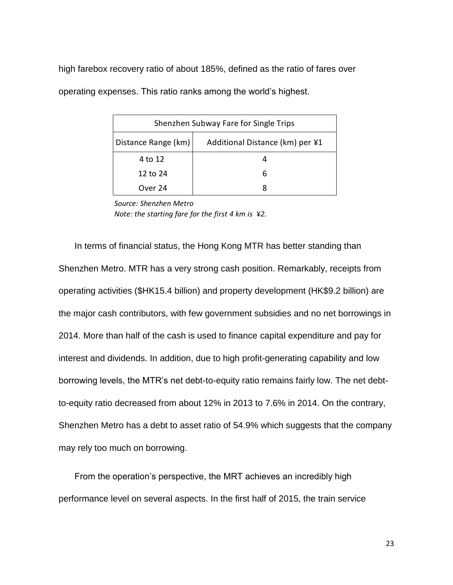high farebox recovery ratio of about 185%, defined as the ratio of fares over operating expenses. This ratio ranks among the world's highest.

| Shenzhen Subway Fare for Single Trips                  |   |  |  |
|--------------------------------------------------------|---|--|--|
| Distance Range (km)<br>Additional Distance (km) per ¥1 |   |  |  |
| 4 to 12                                                |   |  |  |
| 12 to 24                                               | 6 |  |  |
| Over 24                                                |   |  |  |

*Source: Shenzhen Metro Note: the starting fare for the first 4 km is* ¥*2.*

In terms of financial status, the Hong Kong MTR has better standing than Shenzhen Metro. MTR has a very strong cash position. Remarkably, receipts from operating activities (\$HK15.4 billion) and property development (HK\$9.2 billion) are the major cash contributors, with few government subsidies and no net borrowings in 2014. More than half of the cash is used to finance capital expenditure and pay for interest and dividends. In addition, due to high profit-generating capability and low borrowing levels, the MTR's net debt-to-equity ratio remains fairly low. The net debtto-equity ratio decreased from about 12% in 2013 to 7.6% in 2014. On the contrary, Shenzhen Metro has a debt to asset ratio of 54.9% which suggests that the company may rely too much on borrowing.

From the operation's perspective, the MRT achieves an incredibly high performance level on several aspects. In the first half of 2015, the train service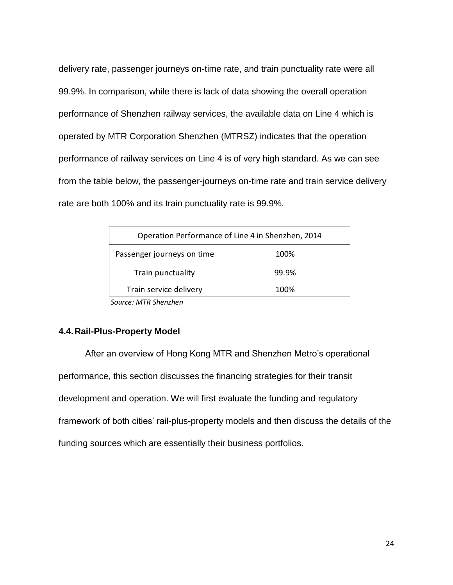delivery rate, passenger journeys on-time rate, and train punctuality rate were all 99.9%. In comparison, while there is lack of data showing the overall operation performance of Shenzhen railway services, the available data on Line 4 which is operated by MTR Corporation Shenzhen (MTRSZ) indicates that the operation performance of railway services on Line 4 is of very high standard. As we can see from the table below, the passenger-journeys on-time rate and train service delivery rate are both 100% and its train punctuality rate is 99.9%.

| Operation Performance of Line 4 in Shenzhen, 2014 |       |  |  |
|---------------------------------------------------|-------|--|--|
| Passenger journeys on time                        | 100%  |  |  |
| Train punctuality                                 | 99.9% |  |  |
| Train service delivery<br>100%                    |       |  |  |

*Source: MTR Shenzhen*

### <span id="page-23-0"></span>**4.4.Rail-Plus-Property Model**

After an overview of Hong Kong MTR and Shenzhen Metro's operational performance, this section discusses the financing strategies for their transit development and operation. We will first evaluate the funding and regulatory framework of both cities' rail-plus-property models and then discuss the details of the funding sources which are essentially their business portfolios.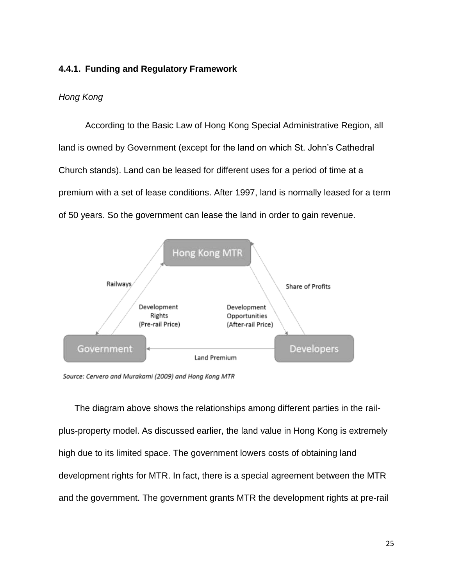# <span id="page-24-0"></span>**4.4.1. Funding and Regulatory Framework**

## *Hong Kong*

According to the Basic Law of Hong Kong Special Administrative Region, all land is owned by Government (except for the land on which St. John's Cathedral Church stands). Land can be leased for different uses for a period of time at a premium with a set of lease conditions. After 1997, land is normally leased for a term of 50 years. So the government can lease the land in order to gain revenue.



Source: Cervero and Murakami (2009) and Hong Kong MTR

The diagram above shows the relationships among different parties in the railplus-property model. As discussed earlier, the land value in Hong Kong is extremely high due to its limited space. The government lowers costs of obtaining land development rights for MTR. In fact, there is a special agreement between the MTR and the government. The government grants MTR the development rights at pre-rail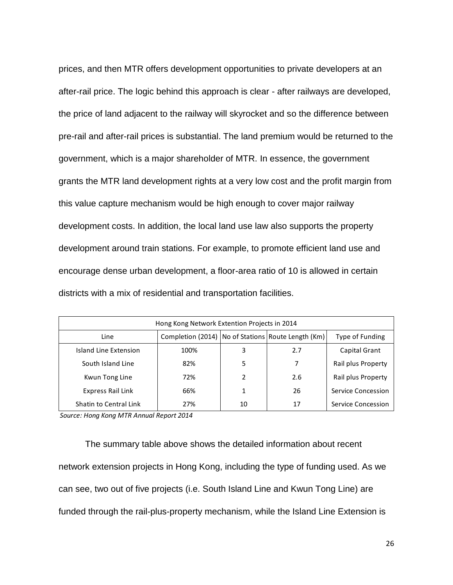prices, and then MTR offers development opportunities to private developers at an after-rail price. The logic behind this approach is clear - after railways are developed, the price of land adjacent to the railway will skyrocket and so the difference between pre-rail and after-rail prices is substantial. The land premium would be returned to the government, which is a major shareholder of MTR. In essence, the government grants the MTR land development rights at a very low cost and the profit margin from this value capture mechanism would be high enough to cover major railway development costs. In addition, the local land use law also supports the property development around train stations. For example, to promote efficient land use and encourage dense urban development, a floor-area ratio of 10 is allowed in certain districts with a mix of residential and transportation facilities.

| Hong Kong Network Extention Projects in 2014                                        |      |    |     |                    |  |
|-------------------------------------------------------------------------------------|------|----|-----|--------------------|--|
| Completion (2014)   No of Stations   Route Length (Km)  <br>Line<br>Type of Funding |      |    |     |                    |  |
| Island Line Extension                                                               | 100% | 3  | 2.7 | Capital Grant      |  |
| South Island Line                                                                   | 82%  | 5  |     | Rail plus Property |  |
| Kwun Tong Line                                                                      | 72%  | 2  | 2.6 | Rail plus Property |  |
| Express Rail Link                                                                   | 66%  |    | 26  | Service Concession |  |
| Shatin to Central Link                                                              | 27%  | 10 | 17  | Service Concession |  |

*Source: Hong Kong MTR Annual Report 2014*

The summary table above shows the detailed information about recent network extension projects in Hong Kong, including the type of funding used. As we can see, two out of five projects (i.e. South Island Line and Kwun Tong Line) are funded through the rail-plus-property mechanism, while the Island Line Extension is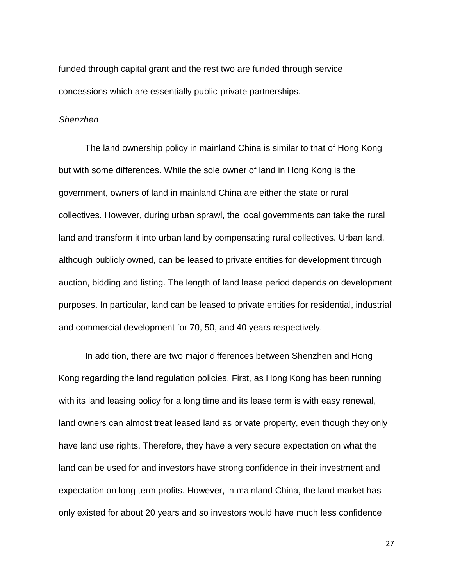funded through capital grant and the rest two are funded through service concessions which are essentially public-private partnerships.

#### *Shenzhen*

The land ownership policy in mainland China is similar to that of Hong Kong but with some differences. While the sole owner of land in Hong Kong is the government, owners of land in mainland China are either the state or rural collectives. However, during urban sprawl, the local governments can take the rural land and transform it into urban land by compensating rural collectives. Urban land, although publicly owned, can be leased to private entities for development through auction, bidding and listing. The length of land lease period depends on development purposes. In particular, land can be leased to private entities for residential, industrial and commercial development for 70, 50, and 40 years respectively.

In addition, there are two major differences between Shenzhen and Hong Kong regarding the land regulation policies. First, as Hong Kong has been running with its land leasing policy for a long time and its lease term is with easy renewal, land owners can almost treat leased land as private property, even though they only have land use rights. Therefore, they have a very secure expectation on what the land can be used for and investors have strong confidence in their investment and expectation on long term profits. However, in mainland China, the land market has only existed for about 20 years and so investors would have much less confidence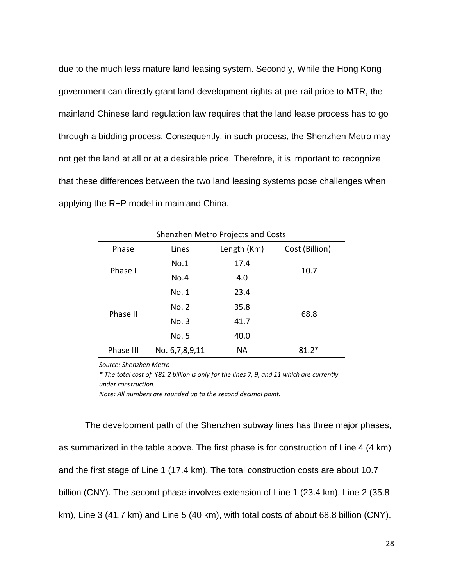due to the much less mature land leasing system. Secondly, While the Hong Kong government can directly grant land development rights at pre-rail price to MTR, the mainland Chinese land regulation law requires that the land lease process has to go through a bidding process. Consequently, in such process, the Shenzhen Metro may not get the land at all or at a desirable price. Therefore, it is important to recognize that these differences between the two land leasing systems pose challenges when applying the R+P model in mainland China.

| Shenzhen Metro Projects and Costs               |                |      |         |  |  |
|-------------------------------------------------|----------------|------|---------|--|--|
| Phase<br>Length (Km)<br>Cost (Billion)<br>Lines |                |      |         |  |  |
|                                                 | No.1           | 17.4 |         |  |  |
| Phase I                                         | No.4           | 4.0  | 10.7    |  |  |
|                                                 | No. 1          | 23.4 |         |  |  |
|                                                 | No. 2          | 35.8 |         |  |  |
| Phase II                                        | No. 3          | 41.7 | 68.8    |  |  |
|                                                 | No. 5          | 40.0 |         |  |  |
| Phase III                                       | No. 6,7,8,9,11 | NА   | $81.2*$ |  |  |

*Source: Shenzhen Metro*

*\* The total cost of* ¥*81.2 billion is only for the lines 7, 9, and 11 which are currently under construction.*

*Note: All numbers are rounded up to the second decimal point.*

The development path of the Shenzhen subway lines has three major phases, as summarized in the table above. The first phase is for construction of Line 4 (4 km) and the first stage of Line 1 (17.4 km). The total construction costs are about 10.7 billion (CNY). The second phase involves extension of Line 1 (23.4 km), Line 2 (35.8 km), Line 3 (41.7 km) and Line 5 (40 km), with total costs of about 68.8 billion (CNY).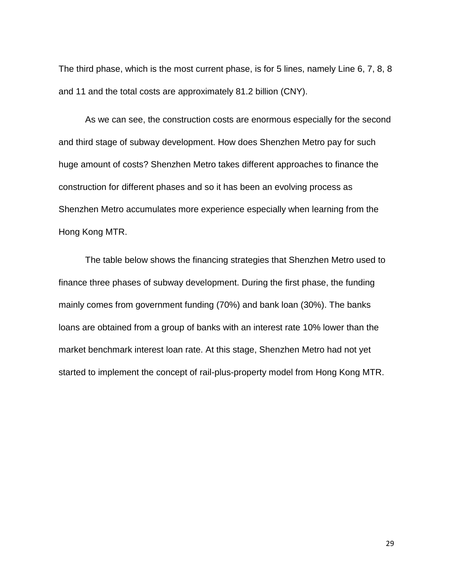The third phase, which is the most current phase, is for 5 lines, namely Line 6, 7, 8, 8 and 11 and the total costs are approximately 81.2 billion (CNY).

As we can see, the construction costs are enormous especially for the second and third stage of subway development. How does Shenzhen Metro pay for such huge amount of costs? Shenzhen Metro takes different approaches to finance the construction for different phases and so it has been an evolving process as Shenzhen Metro accumulates more experience especially when learning from the Hong Kong MTR.

The table below shows the financing strategies that Shenzhen Metro used to finance three phases of subway development. During the first phase, the funding mainly comes from government funding (70%) and bank loan (30%). The banks loans are obtained from a group of banks with an interest rate 10% lower than the market benchmark interest loan rate. At this stage, Shenzhen Metro had not yet started to implement the concept of rail-plus-property model from Hong Kong MTR.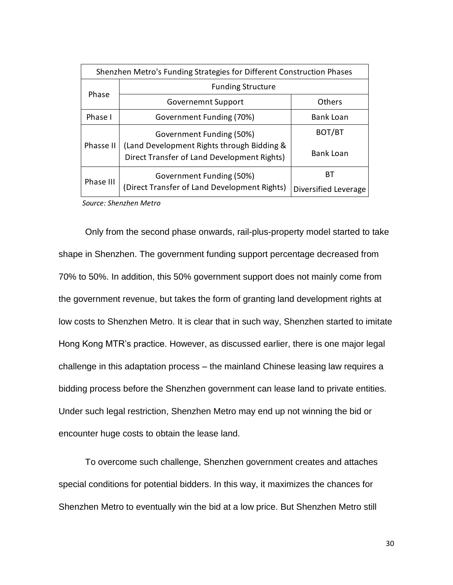| Shenzhen Metro's Funding Strategies for Different Construction Phases |                                                                                           |                      |  |
|-----------------------------------------------------------------------|-------------------------------------------------------------------------------------------|----------------------|--|
|                                                                       | <b>Funding Structure</b>                                                                  |                      |  |
| Phase                                                                 | Governemnt Support                                                                        | <b>Others</b>        |  |
| Phase I                                                               | Government Funding (70%)                                                                  | <b>Bank Loan</b>     |  |
|                                                                       | Government Funding (50%)                                                                  | BOT/BT               |  |
| Phasse II                                                             | (Land Development Rights through Bidding &<br>Direct Transfer of Land Development Rights) | <b>Bank Loan</b>     |  |
| Phase III                                                             | Government Funding (50%)                                                                  | BТ                   |  |
|                                                                       | (Direct Transfer of Land Development Rights)                                              | Diversified Leverage |  |

*Source: Shenzhen Metro*

Only from the second phase onwards, rail-plus-property model started to take shape in Shenzhen. The government funding support percentage decreased from 70% to 50%. In addition, this 50% government support does not mainly come from the government revenue, but takes the form of granting land development rights at low costs to Shenzhen Metro. It is clear that in such way, Shenzhen started to imitate Hong Kong MTR's practice. However, as discussed earlier, there is one major legal challenge in this adaptation process – the mainland Chinese leasing law requires a bidding process before the Shenzhen government can lease land to private entities. Under such legal restriction, Shenzhen Metro may end up not winning the bid or encounter huge costs to obtain the lease land.

To overcome such challenge, Shenzhen government creates and attaches special conditions for potential bidders. In this way, it maximizes the chances for Shenzhen Metro to eventually win the bid at a low price. But Shenzhen Metro still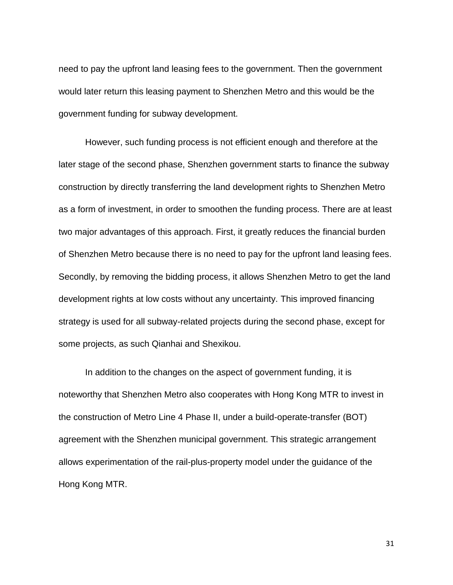need to pay the upfront land leasing fees to the government. Then the government would later return this leasing payment to Shenzhen Metro and this would be the government funding for subway development.

However, such funding process is not efficient enough and therefore at the later stage of the second phase, Shenzhen government starts to finance the subway construction by directly transferring the land development rights to Shenzhen Metro as a form of investment, in order to smoothen the funding process. There are at least two major advantages of this approach. First, it greatly reduces the financial burden of Shenzhen Metro because there is no need to pay for the upfront land leasing fees. Secondly, by removing the bidding process, it allows Shenzhen Metro to get the land development rights at low costs without any uncertainty. This improved financing strategy is used for all subway-related projects during the second phase, except for some projects, as such Qianhai and Shexikou.

In addition to the changes on the aspect of government funding, it is noteworthy that Shenzhen Metro also cooperates with Hong Kong MTR to invest in the construction of Metro Line 4 Phase II, under a build-operate-transfer (BOT) agreement with the Shenzhen municipal government. This strategic arrangement allows experimentation of the rail-plus-property model under the guidance of the Hong Kong MTR.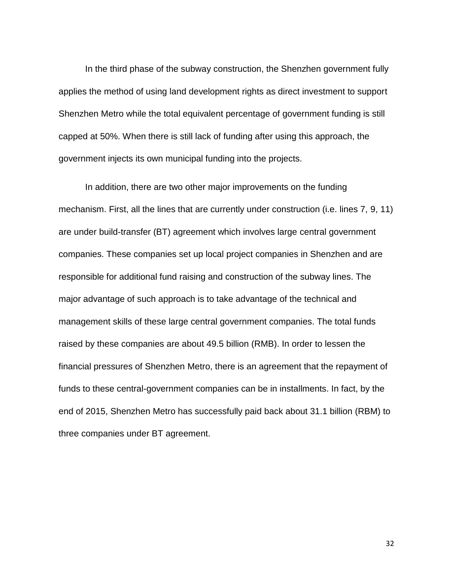In the third phase of the subway construction, the Shenzhen government fully applies the method of using land development rights as direct investment to support Shenzhen Metro while the total equivalent percentage of government funding is still capped at 50%. When there is still lack of funding after using this approach, the government injects its own municipal funding into the projects.

In addition, there are two other major improvements on the funding mechanism. First, all the lines that are currently under construction (i.e. lines 7, 9, 11) are under build-transfer (BT) agreement which involves large central government companies. These companies set up local project companies in Shenzhen and are responsible for additional fund raising and construction of the subway lines. The major advantage of such approach is to take advantage of the technical and management skills of these large central government companies. The total funds raised by these companies are about 49.5 billion (RMB). In order to lessen the financial pressures of Shenzhen Metro, there is an agreement that the repayment of funds to these central-government companies can be in installments. In fact, by the end of 2015, Shenzhen Metro has successfully paid back about 31.1 billion (RBM) to three companies under BT agreement.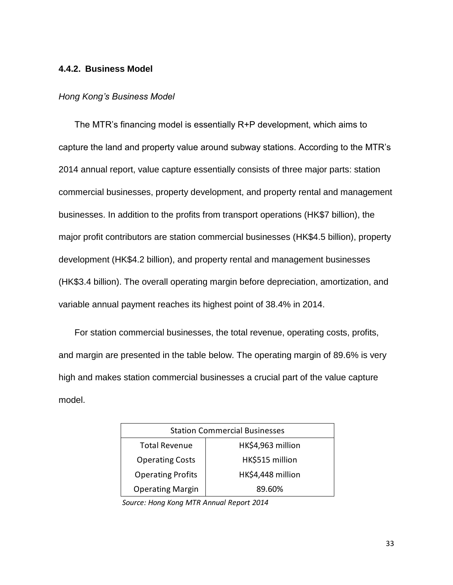## <span id="page-32-0"></span>**4.4.2. Business Model**

#### *Hong Kong's Business Model*

The MTR's financing model is essentially R+P development, which aims to capture the land and property value around subway stations. According to the MTR's 2014 annual report, value capture essentially consists of three major parts: station commercial businesses, property development, and property rental and management businesses. In addition to the profits from transport operations (HK\$7 billion), the major profit contributors are station commercial businesses (HK\$4.5 billion), property development (HK\$4.2 billion), and property rental and management businesses (HK\$3.4 billion). The overall operating margin before depreciation, amortization, and variable annual payment reaches its highest point of 38.4% in 2014.

For station commercial businesses, the total revenue, operating costs, profits, and margin are presented in the table below. The operating margin of 89.6% is very high and makes station commercial businesses a crucial part of the value capture model.

| <b>Station Commercial Businesses</b>          |                   |  |  |
|-----------------------------------------------|-------------------|--|--|
| <b>Total Revenue</b>                          | HK\$4,963 million |  |  |
| HK\$515 million<br><b>Operating Costs</b>     |                   |  |  |
| HK\$4,448 million<br><b>Operating Profits</b> |                   |  |  |
| <b>Operating Margin</b><br>89.60%             |                   |  |  |

*Source: Hong Kong MTR Annual Report 2014*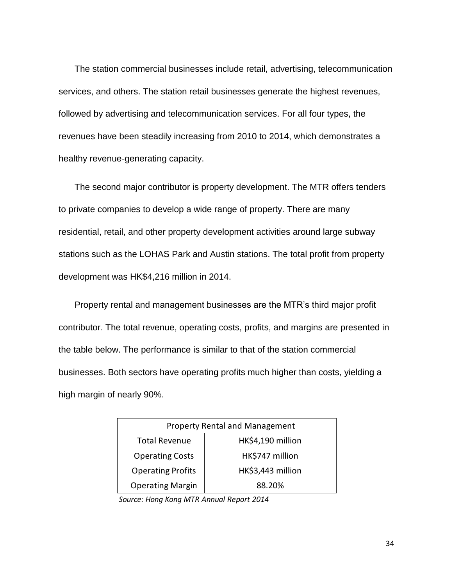The station commercial businesses include retail, advertising, telecommunication services, and others. The station retail businesses generate the highest revenues, followed by advertising and telecommunication services. For all four types, the revenues have been steadily increasing from 2010 to 2014, which demonstrates a healthy revenue-generating capacity.

The second major contributor is property development. The MTR offers tenders to private companies to develop a wide range of property. There are many residential, retail, and other property development activities around large subway stations such as the LOHAS Park and Austin stations. The total profit from property development was HK\$4,216 million in 2014.

Property rental and management businesses are the MTR's third major profit contributor. The total revenue, operating costs, profits, and margins are presented in the table below. The performance is similar to that of the station commercial businesses. Both sectors have operating profits much higher than costs, yielding a high margin of nearly 90%.

| <b>Property Rental and Management</b>     |                   |  |  |
|-------------------------------------------|-------------------|--|--|
| <b>Total Revenue</b>                      | HK\$4,190 million |  |  |
| HK\$747 million<br><b>Operating Costs</b> |                   |  |  |
| <b>Operating Profits</b>                  | HK\$3,443 million |  |  |
| <b>Operating Margin</b><br>88.20%         |                   |  |  |

*Source: Hong Kong MTR Annual Report 2014*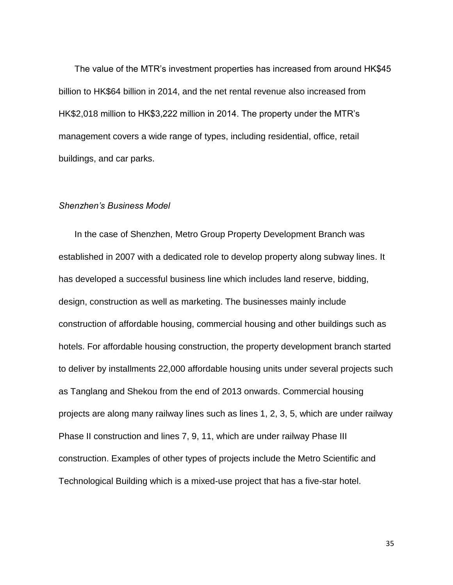The value of the MTR's investment properties has increased from around HK\$45 billion to HK\$64 billion in 2014, and the net rental revenue also increased from HK\$2,018 million to HK\$3,222 million in 2014. The property under the MTR's management covers a wide range of types, including residential, office, retail buildings, and car parks.

#### *Shenzhen's Business Model*

In the case of Shenzhen, Metro Group Property Development Branch was established in 2007 with a dedicated role to develop property along subway lines. It has developed a successful business line which includes land reserve, bidding, design, construction as well as marketing. The businesses mainly include construction of affordable housing, commercial housing and other buildings such as hotels. For affordable housing construction, the property development branch started to deliver by installments 22,000 affordable housing units under several projects such as Tanglang and Shekou from the end of 2013 onwards. Commercial housing projects are along many railway lines such as lines 1, 2, 3, 5, which are under railway Phase II construction and lines 7, 9, 11, which are under railway Phase III construction. Examples of other types of projects include the Metro Scientific and Technological Building which is a mixed-use project that has a five-star hotel.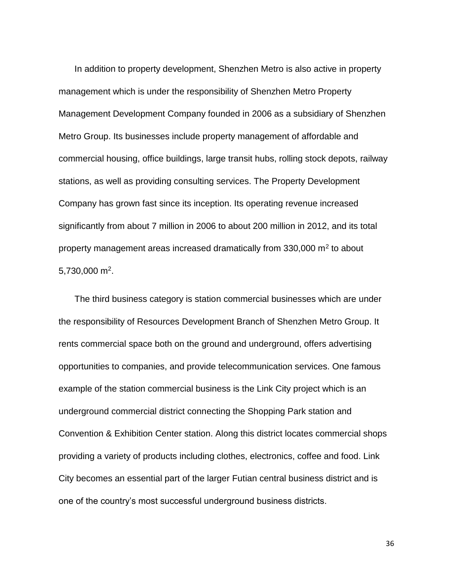In addition to property development, Shenzhen Metro is also active in property management which is under the responsibility of Shenzhen Metro Property Management Development Company founded in 2006 as a subsidiary of Shenzhen Metro Group. Its businesses include property management of affordable and commercial housing, office buildings, large transit hubs, rolling stock depots, railway stations, as well as providing consulting services. The Property Development Company has grown fast since its inception. Its operating revenue increased significantly from about 7 million in 2006 to about 200 million in 2012, and its total property management areas increased dramatically from 330,000  $m^2$  to about  $5,730,000$  m<sup>2</sup>.

The third business category is station commercial businesses which are under the responsibility of Resources Development Branch of Shenzhen Metro Group. It rents commercial space both on the ground and underground, offers advertising opportunities to companies, and provide telecommunication services. One famous example of the station commercial business is the Link City project which is an underground commercial district connecting the Shopping Park station and Convention & Exhibition Center station. Along this district locates commercial shops providing a variety of products including clothes, electronics, coffee and food. Link City becomes an essential part of the larger Futian central business district and is one of the country's most successful underground business districts.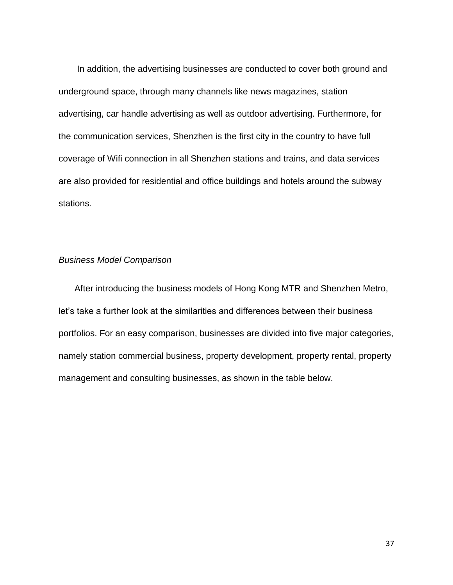In addition, the advertising businesses are conducted to cover both ground and underground space, through many channels like news magazines, station advertising, car handle advertising as well as outdoor advertising. Furthermore, for the communication services, Shenzhen is the first city in the country to have full coverage of Wifi connection in all Shenzhen stations and trains, and data services are also provided for residential and office buildings and hotels around the subway stations.

#### *Business Model Comparison*

After introducing the business models of Hong Kong MTR and Shenzhen Metro, let's take a further look at the similarities and differences between their business portfolios. For an easy comparison, businesses are divided into five major categories, namely station commercial business, property development, property rental, property management and consulting businesses, as shown in the table below.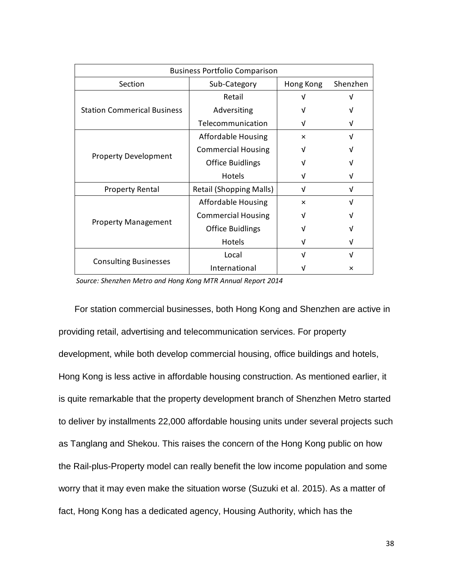| <b>Business Portfolio Comparison</b> |                                |                           |          |  |
|--------------------------------------|--------------------------------|---------------------------|----------|--|
| Section                              | Sub-Category<br>Hong Kong      |                           | Shenzhen |  |
|                                      | Retail                         |                           |          |  |
| <b>Station Commerical Business</b>   | Adversiting                    |                           |          |  |
|                                      | Telecommunication              | ν                         |          |  |
|                                      | <b>Affordable Housing</b>      | $\times$                  |          |  |
|                                      | <b>Commercial Housing</b>      | v                         |          |  |
| <b>Property Development</b>          | <b>Office Buidlings</b>        |                           |          |  |
|                                      | <b>Hotels</b>                  |                           |          |  |
| <b>Property Rental</b>               | <b>Retail (Shopping Malls)</b> | V                         | v        |  |
|                                      | <b>Affordable Housing</b>      | $\boldsymbol{\mathsf{x}}$ | νI       |  |
|                                      | <b>Commercial Housing</b>      | νI                        |          |  |
| <b>Property Management</b>           | <b>Office Buidlings</b>        |                           |          |  |
|                                      | Hotels                         | ν                         | ν        |  |
|                                      | Local                          | v                         | v        |  |
| <b>Consulting Businesses</b>         | International                  |                           | ×        |  |

*Source: Shenzhen Metro and Hong Kong MTR Annual Report 2014*

For station commercial businesses, both Hong Kong and Shenzhen are active in providing retail, advertising and telecommunication services. For property development, while both develop commercial housing, office buildings and hotels, Hong Kong is less active in affordable housing construction. As mentioned earlier, it is quite remarkable that the property development branch of Shenzhen Metro started to deliver by installments 22,000 affordable housing units under several projects such as Tanglang and Shekou. This raises the concern of the Hong Kong public on how the Rail-plus-Property model can really benefit the low income population and some worry that it may even make the situation worse (Suzuki et al. 2015). As a matter of fact, Hong Kong has a dedicated agency, Housing Authority, which has the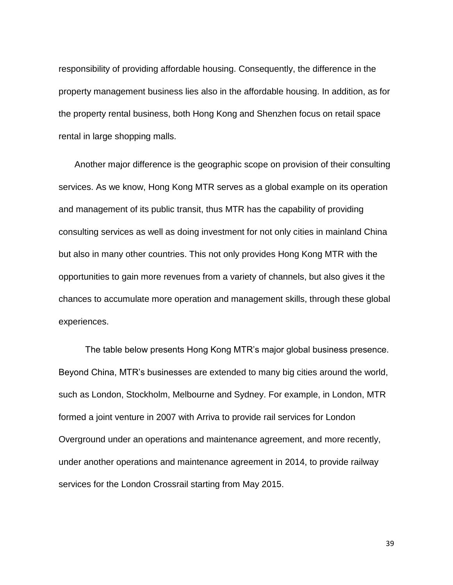responsibility of providing affordable housing. Consequently, the difference in the property management business lies also in the affordable housing. In addition, as for the property rental business, both Hong Kong and Shenzhen focus on retail space rental in large shopping malls.

Another major difference is the geographic scope on provision of their consulting services. As we know, Hong Kong MTR serves as a global example on its operation and management of its public transit, thus MTR has the capability of providing consulting services as well as doing investment for not only cities in mainland China but also in many other countries. This not only provides Hong Kong MTR with the opportunities to gain more revenues from a variety of channels, but also gives it the chances to accumulate more operation and management skills, through these global experiences.

The table below presents Hong Kong MTR's major global business presence. Beyond China, MTR's businesses are extended to many big cities around the world, such as London, Stockholm, Melbourne and Sydney. For example, in London, MTR formed a joint venture in 2007 with Arriva to provide rail services for London Overground under an operations and maintenance agreement, and more recently, under another operations and maintenance agreement in 2014, to provide railway services for the London Crossrail starting from May 2015.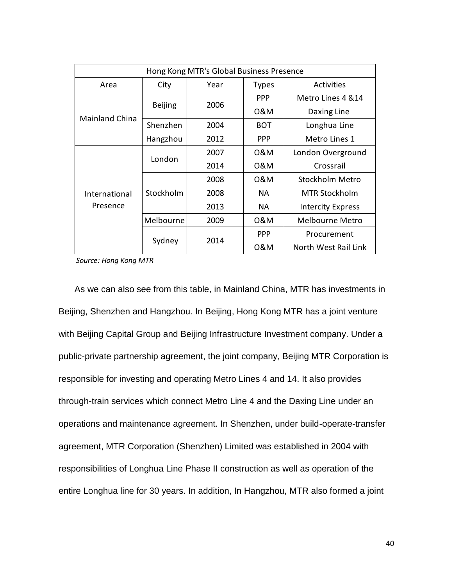| Hong Kong MTR's Global Business Presence |                |      |              |                          |  |  |  |
|------------------------------------------|----------------|------|--------------|--------------------------|--|--|--|
| Area                                     | City           | Year | <b>Types</b> | Activities               |  |  |  |
| <b>Mainland China</b>                    | <b>Beijing</b> | 2006 | <b>PPP</b>   | Metro Lines 4 & 14       |  |  |  |
|                                          |                |      | 0&M          | Daxing Line              |  |  |  |
|                                          | Shenzhen       | 2004 | <b>BOT</b>   | Longhua Line             |  |  |  |
|                                          | Hangzhou       | 2012 | <b>PPP</b>   | Metro Lines 1            |  |  |  |
| International<br>Presence                | London         | 2007 | 0&M          | London Overground        |  |  |  |
|                                          |                | 2014 | 0&M          | Crossrail                |  |  |  |
|                                          | Stockholm      | 2008 | 0&M          | Stockholm Metro          |  |  |  |
|                                          |                | 2008 | NA.          | <b>MTR Stockholm</b>     |  |  |  |
|                                          |                | 2013 | <b>NA</b>    | <b>Intercity Express</b> |  |  |  |
|                                          | Melbourne      | 2009 | 0&M          | Melbourne Metro          |  |  |  |
|                                          | Sydney         | 2014 | <b>PPP</b>   | Procurement              |  |  |  |
|                                          |                |      | 0&M          | North West Rail Link     |  |  |  |

*Source: Hong Kong MTR*

As we can also see from this table, in Mainland China, MTR has investments in Beijing, Shenzhen and Hangzhou. In Beijing, Hong Kong MTR has a joint venture with Beijing Capital Group and Beijing Infrastructure Investment company. Under a public-private partnership agreement, the joint company, Beijing MTR Corporation is responsible for investing and operating Metro Lines 4 and 14. It also provides through-train services which connect Metro Line 4 and the Daxing Line under an operations and maintenance agreement. In Shenzhen, under build-operate-transfer agreement, MTR Corporation (Shenzhen) Limited was established in 2004 with responsibilities of Longhua Line Phase II construction as well as operation of the entire Longhua line for 30 years. In addition, In Hangzhou, MTR also formed a joint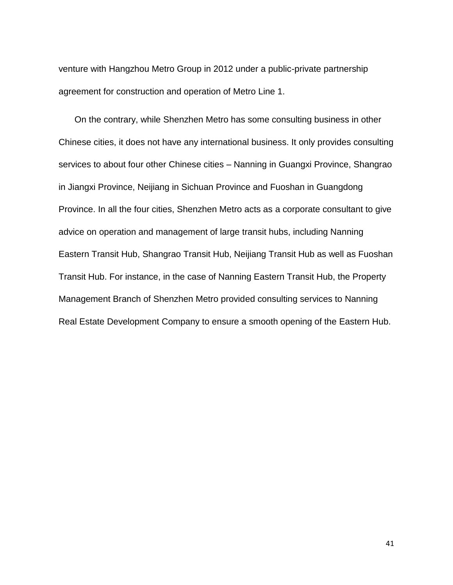venture with Hangzhou Metro Group in 2012 under a public-private partnership agreement for construction and operation of Metro Line 1.

On the contrary, while Shenzhen Metro has some consulting business in other Chinese cities, it does not have any international business. It only provides consulting services to about four other Chinese cities – Nanning in Guangxi Province, Shangrao in Jiangxi Province, Neijiang in Sichuan Province and Fuoshan in Guangdong Province. In all the four cities, Shenzhen Metro acts as a corporate consultant to give advice on operation and management of large transit hubs, including Nanning Eastern Transit Hub, Shangrao Transit Hub, Neijiang Transit Hub as well as Fuoshan Transit Hub. For instance, in the case of Nanning Eastern Transit Hub, the Property Management Branch of Shenzhen Metro provided consulting services to Nanning Real Estate Development Company to ensure a smooth opening of the Eastern Hub.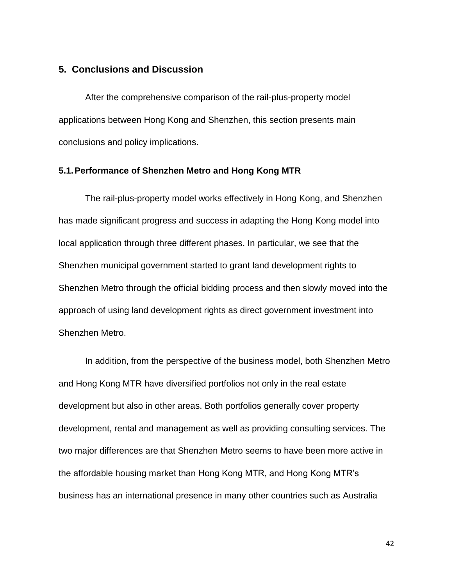## <span id="page-41-0"></span>**5. Conclusions and Discussion**

After the comprehensive comparison of the rail-plus-property model applications between Hong Kong and Shenzhen, this section presents main conclusions and policy implications.

#### <span id="page-41-1"></span>**5.1.Performance of Shenzhen Metro and Hong Kong MTR**

The rail-plus-property model works effectively in Hong Kong, and Shenzhen has made significant progress and success in adapting the Hong Kong model into local application through three different phases. In particular, we see that the Shenzhen municipal government started to grant land development rights to Shenzhen Metro through the official bidding process and then slowly moved into the approach of using land development rights as direct government investment into Shenzhen Metro.

In addition, from the perspective of the business model, both Shenzhen Metro and Hong Kong MTR have diversified portfolios not only in the real estate development but also in other areas. Both portfolios generally cover property development, rental and management as well as providing consulting services. The two major differences are that Shenzhen Metro seems to have been more active in the affordable housing market than Hong Kong MTR, and Hong Kong MTR's business has an international presence in many other countries such as Australia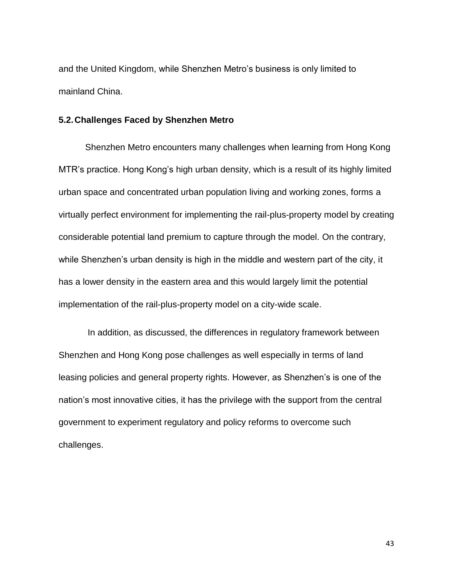and the United Kingdom, while Shenzhen Metro's business is only limited to mainland China.

## <span id="page-42-0"></span>**5.2.Challenges Faced by Shenzhen Metro**

Shenzhen Metro encounters many challenges when learning from Hong Kong MTR's practice. Hong Kong's high urban density, which is a result of its highly limited urban space and concentrated urban population living and working zones, forms a virtually perfect environment for implementing the rail-plus-property model by creating considerable potential land premium to capture through the model. On the contrary, while Shenzhen's urban density is high in the middle and western part of the city, it has a lower density in the eastern area and this would largely limit the potential implementation of the rail-plus-property model on a city-wide scale.

In addition, as discussed, the differences in regulatory framework between Shenzhen and Hong Kong pose challenges as well especially in terms of land leasing policies and general property rights. However, as Shenzhen's is one of the nation's most innovative cities, it has the privilege with the support from the central government to experiment regulatory and policy reforms to overcome such challenges.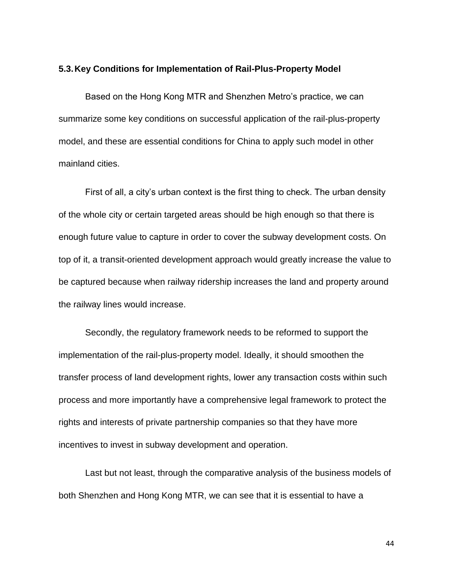#### <span id="page-43-0"></span>**5.3.Key Conditions for Implementation of Rail-Plus-Property Model**

Based on the Hong Kong MTR and Shenzhen Metro's practice, we can summarize some key conditions on successful application of the rail-plus-property model, and these are essential conditions for China to apply such model in other mainland cities.

First of all, a city's urban context is the first thing to check. The urban density of the whole city or certain targeted areas should be high enough so that there is enough future value to capture in order to cover the subway development costs. On top of it, a transit-oriented development approach would greatly increase the value to be captured because when railway ridership increases the land and property around the railway lines would increase.

Secondly, the regulatory framework needs to be reformed to support the implementation of the rail-plus-property model. Ideally, it should smoothen the transfer process of land development rights, lower any transaction costs within such process and more importantly have a comprehensive legal framework to protect the rights and interests of private partnership companies so that they have more incentives to invest in subway development and operation.

Last but not least, through the comparative analysis of the business models of both Shenzhen and Hong Kong MTR, we can see that it is essential to have a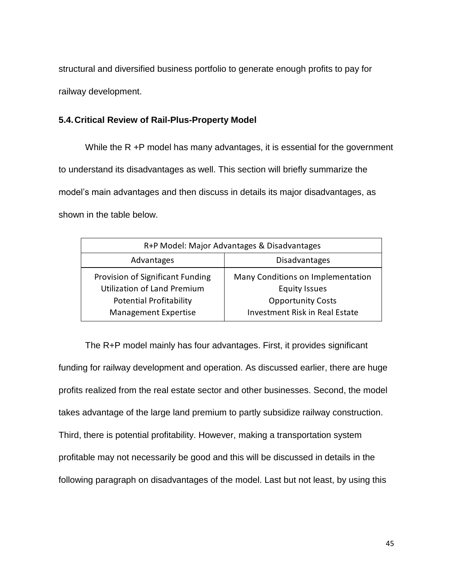structural and diversified business portfolio to generate enough profits to pay for railway development.

## <span id="page-44-0"></span>**5.4.Critical Review of Rail-Plus-Property Model**

While the R +P model has many advantages, it is essential for the government to understand its disadvantages as well. This section will briefly summarize the model's main advantages and then discuss in details its major disadvantages, as shown in the table below.

| R+P Model: Major Advantages & Disadvantages |                                       |  |  |  |  |
|---------------------------------------------|---------------------------------------|--|--|--|--|
| Advantages                                  | <b>Disadvantages</b>                  |  |  |  |  |
| Provision of Significant Funding            | Many Conditions on Implementation     |  |  |  |  |
| Utilization of Land Premium                 | <b>Equity Issues</b>                  |  |  |  |  |
| <b>Potential Profitability</b>              | <b>Opportunity Costs</b>              |  |  |  |  |
| <b>Management Expertise</b>                 | <b>Investment Risk in Real Estate</b> |  |  |  |  |

The R+P model mainly has four advantages. First, it provides significant funding for railway development and operation. As discussed earlier, there are huge profits realized from the real estate sector and other businesses. Second, the model takes advantage of the large land premium to partly subsidize railway construction. Third, there is potential profitability. However, making a transportation system profitable may not necessarily be good and this will be discussed in details in the following paragraph on disadvantages of the model. Last but not least, by using this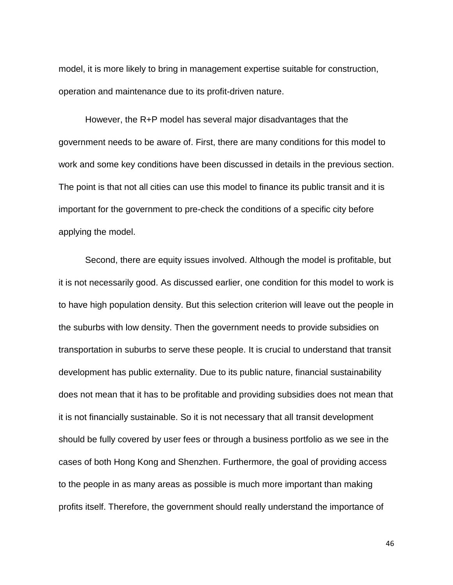model, it is more likely to bring in management expertise suitable for construction, operation and maintenance due to its profit-driven nature.

However, the R+P model has several major disadvantages that the government needs to be aware of. First, there are many conditions for this model to work and some key conditions have been discussed in details in the previous section. The point is that not all cities can use this model to finance its public transit and it is important for the government to pre-check the conditions of a specific city before applying the model.

Second, there are equity issues involved. Although the model is profitable, but it is not necessarily good. As discussed earlier, one condition for this model to work is to have high population density. But this selection criterion will leave out the people in the suburbs with low density. Then the government needs to provide subsidies on transportation in suburbs to serve these people. It is crucial to understand that transit development has public externality. Due to its public nature, financial sustainability does not mean that it has to be profitable and providing subsidies does not mean that it is not financially sustainable. So it is not necessary that all transit development should be fully covered by user fees or through a business portfolio as we see in the cases of both Hong Kong and Shenzhen. Furthermore, the goal of providing access to the people in as many areas as possible is much more important than making profits itself. Therefore, the government should really understand the importance of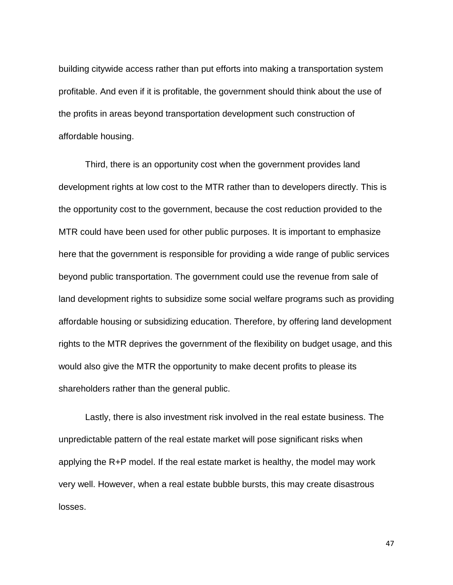building citywide access rather than put efforts into making a transportation system profitable. And even if it is profitable, the government should think about the use of the profits in areas beyond transportation development such construction of affordable housing.

Third, there is an opportunity cost when the government provides land development rights at low cost to the MTR rather than to developers directly. This is the opportunity cost to the government, because the cost reduction provided to the MTR could have been used for other public purposes. It is important to emphasize here that the government is responsible for providing a wide range of public services beyond public transportation. The government could use the revenue from sale of land development rights to subsidize some social welfare programs such as providing affordable housing or subsidizing education. Therefore, by offering land development rights to the MTR deprives the government of the flexibility on budget usage, and this would also give the MTR the opportunity to make decent profits to please its shareholders rather than the general public.

Lastly, there is also investment risk involved in the real estate business. The unpredictable pattern of the real estate market will pose significant risks when applying the R+P model. If the real estate market is healthy, the model may work very well. However, when a real estate bubble bursts, this may create disastrous losses.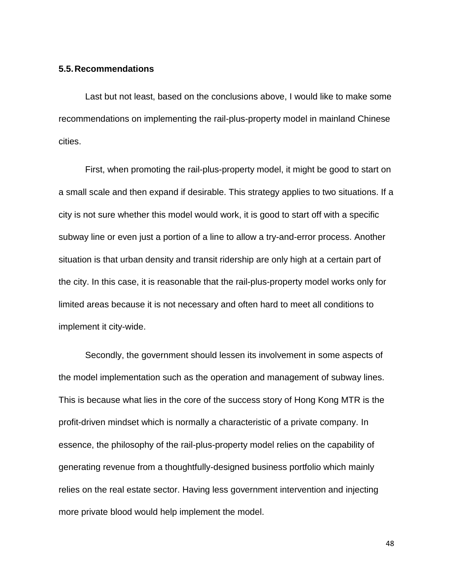#### <span id="page-47-0"></span>**5.5.Recommendations**

Last but not least, based on the conclusions above, I would like to make some recommendations on implementing the rail-plus-property model in mainland Chinese cities.

First, when promoting the rail-plus-property model, it might be good to start on a small scale and then expand if desirable. This strategy applies to two situations. If a city is not sure whether this model would work, it is good to start off with a specific subway line or even just a portion of a line to allow a try-and-error process. Another situation is that urban density and transit ridership are only high at a certain part of the city. In this case, it is reasonable that the rail-plus-property model works only for limited areas because it is not necessary and often hard to meet all conditions to implement it city-wide.

Secondly, the government should lessen its involvement in some aspects of the model implementation such as the operation and management of subway lines. This is because what lies in the core of the success story of Hong Kong MTR is the profit-driven mindset which is normally a characteristic of a private company. In essence, the philosophy of the rail-plus-property model relies on the capability of generating revenue from a thoughtfully-designed business portfolio which mainly relies on the real estate sector. Having less government intervention and injecting more private blood would help implement the model.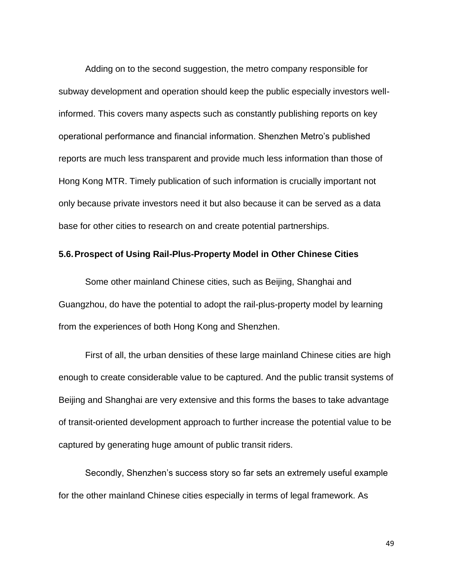Adding on to the second suggestion, the metro company responsible for subway development and operation should keep the public especially investors wellinformed. This covers many aspects such as constantly publishing reports on key operational performance and financial information. Shenzhen Metro's published reports are much less transparent and provide much less information than those of Hong Kong MTR. Timely publication of such information is crucially important not only because private investors need it but also because it can be served as a data base for other cities to research on and create potential partnerships.

#### <span id="page-48-0"></span>**5.6.Prospect of Using Rail-Plus-Property Model in Other Chinese Cities**

Some other mainland Chinese cities, such as Beijing, Shanghai and Guangzhou, do have the potential to adopt the rail-plus-property model by learning from the experiences of both Hong Kong and Shenzhen.

First of all, the urban densities of these large mainland Chinese cities are high enough to create considerable value to be captured. And the public transit systems of Beijing and Shanghai are very extensive and this forms the bases to take advantage of transit-oriented development approach to further increase the potential value to be captured by generating huge amount of public transit riders.

Secondly, Shenzhen's success story so far sets an extremely useful example for the other mainland Chinese cities especially in terms of legal framework. As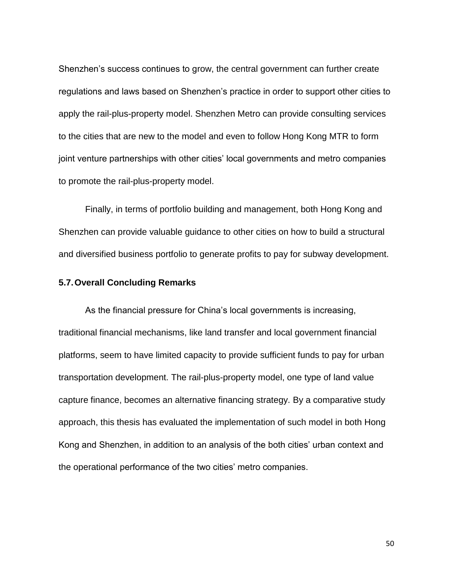Shenzhen's success continues to grow, the central government can further create regulations and laws based on Shenzhen's practice in order to support other cities to apply the rail-plus-property model. Shenzhen Metro can provide consulting services to the cities that are new to the model and even to follow Hong Kong MTR to form joint venture partnerships with other cities' local governments and metro companies to promote the rail-plus-property model.

Finally, in terms of portfolio building and management, both Hong Kong and Shenzhen can provide valuable guidance to other cities on how to build a structural and diversified business portfolio to generate profits to pay for subway development.

#### <span id="page-49-0"></span>**5.7.Overall Concluding Remarks**

As the financial pressure for China's local governments is increasing, traditional financial mechanisms, like land transfer and local government financial platforms, seem to have limited capacity to provide sufficient funds to pay for urban transportation development. The rail-plus-property model, one type of land value capture finance, becomes an alternative financing strategy. By a comparative study approach, this thesis has evaluated the implementation of such model in both Hong Kong and Shenzhen, in addition to an analysis of the both cities' urban context and the operational performance of the two cities' metro companies.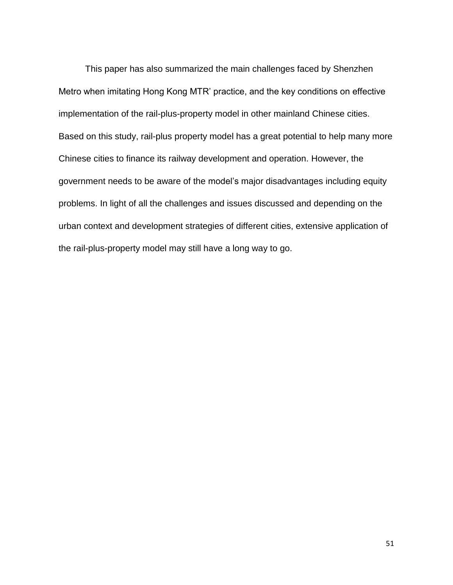This paper has also summarized the main challenges faced by Shenzhen Metro when imitating Hong Kong MTR' practice, and the key conditions on effective implementation of the rail-plus-property model in other mainland Chinese cities. Based on this study, rail-plus property model has a great potential to help many more Chinese cities to finance its railway development and operation. However, the government needs to be aware of the model's major disadvantages including equity problems. In light of all the challenges and issues discussed and depending on the urban context and development strategies of different cities, extensive application of the rail-plus-property model may still have a long way to go.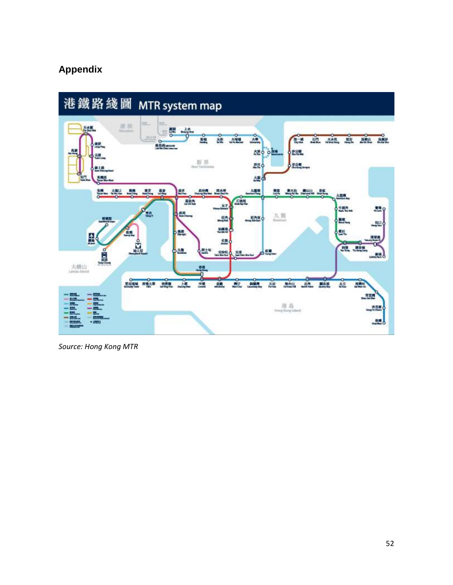# <span id="page-51-0"></span>**Appendix**



*Source: Hong Kong MTR*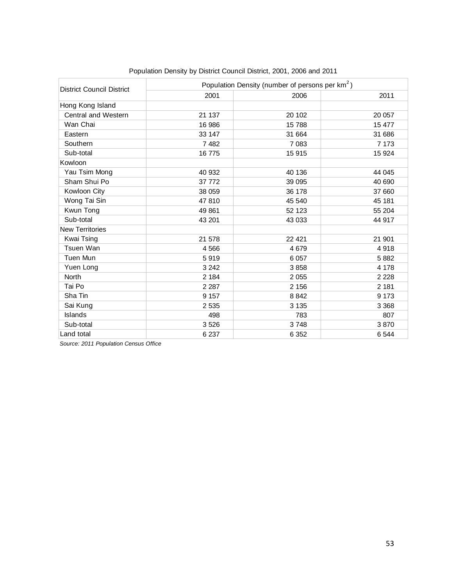| <b>District Council District</b> | Population Density (number of persons per km <sup>2</sup> ) |         |         |  |  |
|----------------------------------|-------------------------------------------------------------|---------|---------|--|--|
|                                  | 2001                                                        | 2006    | 2011    |  |  |
| Hong Kong Island                 |                                                             |         |         |  |  |
| Central and Western              | 21 137                                                      | 20 102  | 20 057  |  |  |
| Wan Chai                         | 16 986                                                      | 15788   | 15 477  |  |  |
| Eastern                          | 33 147                                                      | 31 664  | 31 686  |  |  |
| Southern                         | 7482                                                        | 7 0 8 3 | 7 1 7 3 |  |  |
| Sub-total                        | 16775                                                       | 15 915  | 15 9 24 |  |  |
| Kowloon                          |                                                             |         |         |  |  |
| Yau Tsim Mong                    | 40 932                                                      | 40 136  | 44 045  |  |  |
| Sham Shui Po                     | 37 772                                                      | 39 095  | 40 690  |  |  |
| Kowloon City                     | 38 059                                                      | 36 178  | 37 660  |  |  |
| Wong Tai Sin                     | 47810                                                       | 45 540  | 45 181  |  |  |
| Kwun Tong                        | 49 861                                                      | 52 123  | 55 204  |  |  |
| Sub-total                        | 43 201                                                      | 43 033  | 44 917  |  |  |
| <b>New Territories</b>           |                                                             |         |         |  |  |
| Kwai Tsing                       | 21 578                                                      | 22 4 21 | 21 901  |  |  |
| Tsuen Wan                        | 4566                                                        | 4679    | 4918    |  |  |
| Tuen Mun                         | 5919                                                        | 6 0 5 7 | 5882    |  |  |
| Yuen Long                        | 3 2 4 2                                                     | 3858    | 4 1 7 8 |  |  |
| North                            | 2 1 8 4                                                     | 2055    | 2 2 2 8 |  |  |
| Tai Po                           | 2 2 8 7                                                     | 2 1 5 6 | 2 181   |  |  |
| Sha Tin                          | 9 1 5 7                                                     | 8842    | 9 1 7 3 |  |  |
| Sai Kung                         | 2 5 3 5                                                     | 3 1 3 5 | 3 3 6 8 |  |  |
| Islands                          | 498                                                         | 783     | 807     |  |  |
| Sub-total                        | 3526                                                        | 3748    | 3870    |  |  |
| Land total                       | 6 2 3 7                                                     | 6 3 5 2 | 6 5 4 4 |  |  |

*Source: 2011 Population Census Office*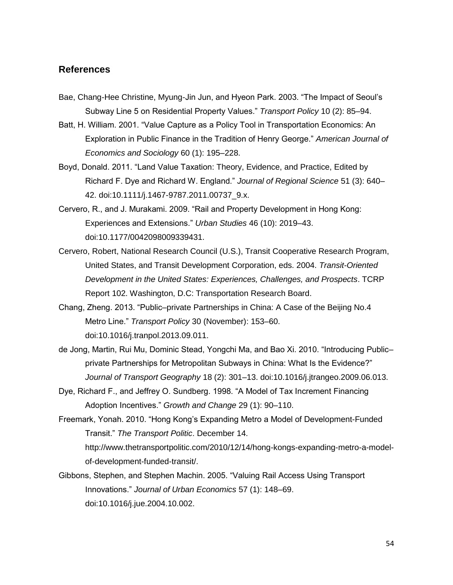#### <span id="page-53-0"></span>**References**

- Bae, Chang-Hee Christine, Myung-Jin Jun, and Hyeon Park. 2003. "The Impact of Seoul's Subway Line 5 on Residential Property Values." *Transport Policy* 10 (2): 85–94.
- Batt, H. William. 2001. "Value Capture as a Policy Tool in Transportation Economics: An Exploration in Public Finance in the Tradition of Henry George." *American Journal of Economics and Sociology* 60 (1): 195–228.
- Boyd, Donald. 2011. "Land Value Taxation: Theory, Evidence, and Practice, Edited by Richard F. Dye and Richard W. England." *Journal of Regional Science* 51 (3): 640– 42. doi:10.1111/j.1467-9787.2011.00737\_9.x.
- Cervero, R., and J. Murakami. 2009. "Rail and Property Development in Hong Kong: Experiences and Extensions." *Urban Studies* 46 (10): 2019–43. doi:10.1177/0042098009339431.
- Cervero, Robert, National Research Council (U.S.), Transit Cooperative Research Program, United States, and Transit Development Corporation, eds. 2004. *Transit-Oriented Development in the United States: Experiences, Challenges, and Prospects*. TCRP Report 102. Washington, D.C: Transportation Research Board.
- Chang, Zheng. 2013. "Public–private Partnerships in China: A Case of the Beijing No.4 Metro Line." *Transport Policy* 30 (November): 153–60. doi:10.1016/j.tranpol.2013.09.011.
- de Jong, Martin, Rui Mu, Dominic Stead, Yongchi Ma, and Bao Xi. 2010. "Introducing Public– private Partnerships for Metropolitan Subways in China: What Is the Evidence?" *Journal of Transport Geography* 18 (2): 301–13. doi:10.1016/j.jtrangeo.2009.06.013.
- Dye, Richard F., and Jeffrey O. Sundberg. 1998. "A Model of Tax Increment Financing Adoption Incentives." *Growth and Change* 29 (1): 90–110.
- Freemark, Yonah. 2010. "Hong Kong's Expanding Metro a Model of Development-Funded Transit." *The Transport Politic*. December 14. http://www.thetransportpolitic.com/2010/12/14/hong-kongs-expanding-metro-a-modelof-development-funded-transit/.
- Gibbons, Stephen, and Stephen Machin. 2005. "Valuing Rail Access Using Transport Innovations." *Journal of Urban Economics* 57 (1): 148–69. doi:10.1016/j.jue.2004.10.002.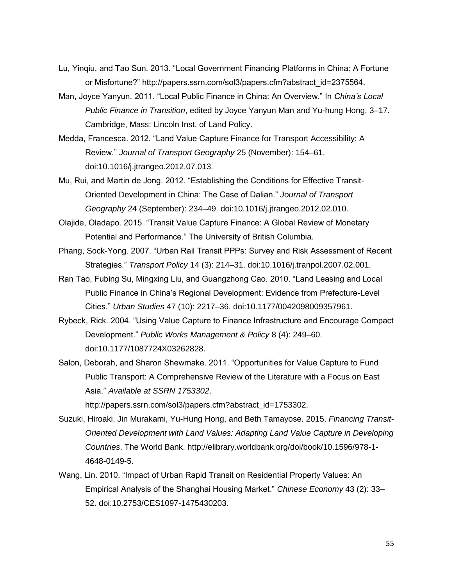- Lu, Yinqiu, and Tao Sun. 2013. "Local Government Financing Platforms in China: A Fortune or Misfortune?" http://papers.ssrn.com/sol3/papers.cfm?abstract\_id=2375564.
- Man, Joyce Yanyun. 2011. "Local Public Finance in China: An Overview." In *China's Local Public Finance in Transition*, edited by Joyce Yanyun Man and Yu-hung Hong, 3–17. Cambridge, Mass: Lincoln Inst. of Land Policy.
- Medda, Francesca. 2012. "Land Value Capture Finance for Transport Accessibility: A Review." *Journal of Transport Geography* 25 (November): 154–61. doi:10.1016/j.jtrangeo.2012.07.013.
- Mu, Rui, and Martin de Jong. 2012. "Establishing the Conditions for Effective Transit-Oriented Development in China: The Case of Dalian." *Journal of Transport Geography* 24 (September): 234–49. doi:10.1016/j.jtrangeo.2012.02.010.
- Olajide, Oladapo. 2015. "Transit Value Capture Finance: A Global Review of Monetary Potential and Performance." The University of British Columbia.
- Phang, Sock-Yong. 2007. "Urban Rail Transit PPPs: Survey and Risk Assessment of Recent Strategies." *Transport Policy* 14 (3): 214–31. doi:10.1016/j.tranpol.2007.02.001.
- Ran Tao, Fubing Su, Mingxing Liu, and Guangzhong Cao. 2010. "Land Leasing and Local Public Finance in China's Regional Development: Evidence from Prefecture-Level Cities." *Urban Studies* 47 (10): 2217–36. doi:10.1177/0042098009357961.
- Rybeck, Rick. 2004. "Using Value Capture to Finance Infrastructure and Encourage Compact Development." *Public Works Management & Policy* 8 (4): 249–60. doi:10.1177/1087724X03262828.
- Salon, Deborah, and Sharon Shewmake. 2011. "Opportunities for Value Capture to Fund Public Transport: A Comprehensive Review of the Literature with a Focus on East Asia." *Available at SSRN 1753302*.

http://papers.ssrn.com/sol3/papers.cfm?abstract\_id=1753302.

- Suzuki, Hiroaki, Jin Murakami, Yu-Hung Hong, and Beth Tamayose. 2015. *Financing Transit-Oriented Development with Land Values: Adapting Land Value Capture in Developing Countries*. The World Bank. http://elibrary.worldbank.org/doi/book/10.1596/978-1- 4648-0149-5.
- Wang, Lin. 2010. "Impact of Urban Rapid Transit on Residential Property Values: An Empirical Analysis of the Shanghai Housing Market." *Chinese Economy* 43 (2): 33– 52. doi:10.2753/CES1097-1475430203.